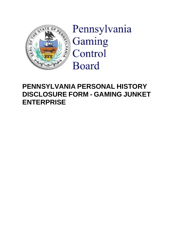

Pennsylvania Gaming Control **Board** 

# **PENNSYLVANIA PERSONAL HISTORY DISCLOSURE FORM - GAMING JUNKET ENTERPRISE**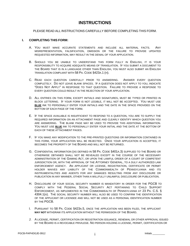# **INSTRUCTIONS**

PLEASE READ ALL INSTRUCTIONS CAREFULLY BEFORE COMPLETING THIS FORM.

#### **I. COMPLETING THIS FORM:**

- A. YOU MUST MAKE ACCURATE STATEMENTS AND INCLUDE ALL MATERIAL FACTS. ANY MISREPRESENTATION, FALSIFICATION, OMISSION OR THE FAILURE TO PROVIDE UPDATED REQUESTED INFORMATION, MAY RESULT IN THE DENIAL OF YOUR APPLICATION.
- B. SHOULD YOU BE UNABLE TO UNDERSTAND THIS FORM FULLY IN ENGLISH, IT IS YOUR RESPONSIBILITY TO ACQUIRE ADEQUATE MEANS OF TRANSLATION. IF YOU SUBMIT A DOCUMENT TO THE BOARD THAT IS IN A LANGUAGE OTHER THAN ENGLISH, YOU MUST ALSO SUBMIT AN ENGLISH TRANSLATION COMPLIANT WITH 58 PA. CODE §423A.1 (H).
- C. READ EACH QUESTION CAREFULLY PRIOR TO ANSWERING. ANSWER EVERY QUESTION COMPLETELY. DO NOT LEAVE BLANK SPACES. IF A QUESTION DOES NOT APPLY TO YOU, INDICATE "DOES NOT APPLY" IN RESPONSE TO THAT QUESTION. FAILURE TO PROVIDE A RESPONSE TO EVERY QUESTION COULD RESULT IN THE REJECTION OF YOUR APPLICATION.
- D. ALL ENTRIES ON THIS FORM, EXCEPT INITIALS AND SIGNATURES, MUST BE TYPED OR PRINTED IN BLOCK LETTERING. IF YOUR FORM IS NOT LEGIBLE, IT WILL NOT BE ACCEPTED. YOU MUST USE **BLUE** INK TO PERSONALLY ENTER YOUR INITIALS AND THE DATE IN THE SPACE PROVIDED ON THE BOTTOM OF EACH PAGE OF THE FORM.
- E. IF THE SPACE AVAILABLE IS INSUFFICIENT TO RESPOND TO A QUESTION, YOU ARE TO SUPPLY THE REQUIRED INFORMATION ON AN ATTACHMENT PAGE AND CLEARLY IDENTIFY WHICH QUESTION YOU ARE ANSWERING. THE BLANK PAGE MAY BE USED TO PROVIDE THIS ADDITIONAL INFORMATION. YOU MUST USE **BLUE** INK TO PERSONALLY ENTER YOUR INITIAL AND THE DATE AT THE BOTTOM OF EACH OF THESE ATTACHMENT PAGES.
- F. IF YOU MAKE ANY MODIFICATION TO THE PRE-PRINTED QUESTIONS OR INFORMATION CONTAINED IN THIS FORM, YOUR APPLICATION WILL BE REJECTED. ONCE YOUR APPLICATION IS ACCEPTED, IT BECOMES THE PROPERTY OF THE BOARD AND WILL NOT BE RETURNED.
- G. CONFIDENTIAL INFORMATION (AS DEFINED IN 58 PA. CODE §401A.3) SUPPLIED TO THE BOARD OR OTHERWISE OBTAINED SHALL NOT BE REVEALED EXCEPT IN THE COURSE OF THE NECESSARY ADMINISTRATION OF THE GAMING ACT, OR UPON THE LAWFUL ORDER OF A COURT OF COMPETENT JURISDICTION OR, WITH THE APPROVAL OF THE ATTORNEY GENERAL, TO A DULY AUTHORIZED LAW ENFORCEMENT AGENCY. AN APPLICANT OR LICENSE, REGISTRATION, CERTIFICATE OR PERMIT HOLDER WAIVES ANY LIABILITY OF THE COMMONWEALTH OF PENNSYLVANIA AND ITS INSTRUMENTALITIES AND AGENTS FOR ANY DAMAGES RESULTING FROM ANY DISCLOSURE OR PUBLICATION IN ANY MANNER, OTHER THAN A WILLFULLY UNLAWFUL DISCLOSURE OR PUBLICATION.
- H. DISCLOSURE OF YOUR SOCIAL SECURITY NUMBER IS MANDATORY IN ORDER FOR THE PGCB TO COMPLY WITH THE FEDERAL SOCIAL SECURITY ACT PERTAINING TO CHILD SUPPORT ENFORCEMENT, AS IMPLEMENTED IN THE COMMONWEALTH OF PENNSYLVANIA AT 23 PA. C.S. § 4304.1(A). THE SOCIAL SECURITY NUMBER WILL ALSO BE USED TO CONFIRM THE IDENTIFICATION OF THE APPLICANT OR LICENSEE AND WILL NOT BE USED AS A PERSONAL IDENTIFICATION NUMBER BY THE PGCB.
- I. PURSUANT TO 58 PA. CODE §423A.5, ONCE THE APPLICATION HAS BEEN FILED, THE APPLICANT **MAY NOT** WITHDRAW ITS APPLICATION WITHOUT THE PERMISSION OF THE BOARD.
- J. A LICENSE, PERMIT, CERTIFICATION OR REGISTRATION ISSUANCE, RENEWAL OR OTHER APPROVAL ISSUED BY THE BOARD IS A REVOCABLE PRIVILEGE. NO PERSON HOLDING A LICENSE, PERMIT, CERTIFICATION OR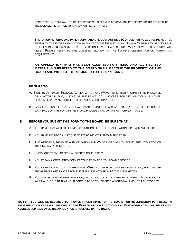REGISTRATION, RENEWAL, OR OTHER APPROVAL IS DEEMED TO HAVE ANY PROPERTY RIGHTS RELATED TO THE LICENSE, PERMIT, CERTIFICATION OR REGISTRATION.

**THE ORIGINAL FORM, ONE PAPER COPY, AND ONE COMPACT DISC (CD) CONTAINING ALL FORMS** MUST BE SENT WITH THE ENTIRE APPLICATION PACKAGE TO THE PENNSYLVANIA GAMING CONTROL BOARD, BUREAU OF LICENSING, 303 WALNUT STREET, VERIZON TOWER, HARRISBURG, PA 17101 WITH THE APPROPRIATE FEES. PLEASE REFER TO THE LICENSING SECTION OF THE BOARD'S WEBSITE FOR CD FORMATTING REQUIREMENTS.

#### **AN APPLICATION THAT HAS BEEN ACCEPTED FOR FILING AND ALL RELATED MATERIALS SUBMITTED TO THE BOARD SHALL BECOME THE PROPERTY OF THE BOARD AND WILL NOT BE RETURNED TO THE APPLICANT.**

#### **II. BE SURE TO:**

- A. SIGN THE AFFIDAVIT, RELEASE AUTHORIZATION AND WAIVER OF LIABILITY FORMS IN THE PRESENCE OF A NOTARY PUBLIC, JUSTICE OF THE PEACE, COMMISSIONER FOR DECLARATIONS OR OTHER PERSON LEGALLY AUTHORIZED TO NOTARIZE YOUR SIGNATURE.
- B. CHECK TO ENSURE THAT YOU HAVE PLACED YOUR INITIALS AND THE DATE ON THE BOTTOM OF EACH PAGE OF THIS FORM IN THE SPACE PROVIDED AND ON ANY ATTACHMENT PAGES.

#### **III. BEFORE YOU SUBMIT THIS FORM TO THE BOARD, BE SURE THAT:**

- A. YOU HAVE REVIEWED THE FILING INSTRUCTIONS FOR THE QUALIFICATION THAT YOU ARE SEEKING.
- B. YOU HAVE INCLUDED ALL REQUIRED ATTACHMENTS LISTED IN THIS FORM.
- C. THE AFFIDAVIT, RELEASE AUTHORIZATION AND WAIVER OF LIABILITY FORMS ARE NOTARIZED ON THE ORIGINAL APPLICATION.
- D. EVERY QUESTION HAS BEEN ANSWERED COMPLETELY.
- E. YOU RETAIN A COMPLETED COPY OF YOUR FORM FOR YOUR OWN RECORDS.
- F. YOU KEEP A BLANK COPY OF THE FORM. WHEN YOU NEED TO UPDATE INFORMATION, YOU CAN USE THE APPROPRIATE PAGES FROM THE BLANK FORM TO PROVIDE THE INFORMATION.
- G. YOU USE BLUE INK WHERE YOU SIGN, INITIAL AND DATE YOUR RENEWAL FORM. USING BLUE INK WILL MAKE IT CLEAR THAT YOUR FORM IS TO BE CONSIDERED AN ORIGINAL AND NOT A PHOTOCOPY.

**NOTE: YOU WILL BE REQUIRED TO PROVIDE FINGERPRINTS TO THE BOARD FOR INVESTIGATION PURPOSES. A FINGERPRINT PACKAGE WILL BE SENT BY THE BUREAU OF INVESTIGATIONS AND ENFORCEMENT TO THE RESIDENTIAL ADDRESS SUPPLIED ONCE THE APPLICATION IS RECEIVED BY THE BOARD.**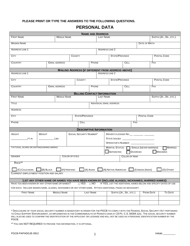### **PLEASE PRINT OR TYPE THE ANSWERS TO THE FOLLOWING QUESTIONS.**

# **PERSONAL DATA**

|                                                                                                                                                    |                      |                      |                                                          | <b>NAME AND ADDRESS</b>        |                              |                                 |                                                      |                        |                                                                  |
|----------------------------------------------------------------------------------------------------------------------------------------------------|----------------------|----------------------|----------------------------------------------------------|--------------------------------|------------------------------|---------------------------------|------------------------------------------------------|------------------------|------------------------------------------------------------------|
| <b>FIRST NAME</b>                                                                                                                                  |                      | <b>MIDDLE NAME</b>   |                                                          |                                | <b>LAST NAME</b>             |                                 |                                                      |                        | SUFFIX (JR., SR., ETC.)                                          |
| <b>MAIDEN NAME</b>                                                                                                                                 |                      |                      |                                                          |                                | DATE OF BIRTH                |                                 |                                                      |                        |                                                                  |
| <b>ADDRESS LINE 1</b>                                                                                                                              |                      |                      |                                                          |                                | <b>ADDRESS LINE 2</b>        |                                 |                                                      |                        |                                                                  |
| <b>CITY</b>                                                                                                                                        |                      |                      | <b>COUNTY</b>                                            |                                |                              | STATE/PROVINCE                  |                                                      |                        | POSTAL CODE                                                      |
| <b>COUNTRY</b>                                                                                                                                     | <b>EMAIL ADDRESS</b> |                      |                                                          | PHONE                          |                              |                                 | <b>CELL</b>                                          | FAX                    |                                                                  |
|                                                                                                                                                    |                      |                      | <b>MAILING ADDRESS (IF DIFFERENT FROM ADDRESS ABOVE)</b> |                                |                              |                                 |                                                      |                        |                                                                  |
| <b>ADDRESS LINE 1</b>                                                                                                                              |                      |                      |                                                          |                                | <b>ADDRESS LINE 2</b>        |                                 |                                                      |                        |                                                                  |
| <b>CITY</b>                                                                                                                                        |                      |                      | <b>COUNTY</b>                                            |                                |                              | <b>STATE/PROVINCE</b>           |                                                      |                        | POSTAL CODE                                                      |
| <b>COUNTRY</b>                                                                                                                                     | <b>EMAIL ADDRESS</b> |                      |                                                          | PHONE                          |                              |                                 | <b>CELL</b>                                          | <b>FAX</b>             |                                                                  |
|                                                                                                                                                    |                      |                      | <b>BILLING CONTACT INFORMATION</b>                       |                                |                              |                                 |                                                      |                        |                                                                  |
| <b>FIRST NAME</b>                                                                                                                                  |                      | <b>MIDDLE NAME</b>   |                                                          |                                | <b>LAST NAME</b>             |                                 |                                                      |                        | SUFFIX (JR., SR., ETC.)                                          |
| TITLE                                                                                                                                              |                      |                      |                                                          |                                |                              | <b>INDIVIDUAL EMAIL ADDRESS</b> |                                                      |                        |                                                                  |
| ADDRESS                                                                                                                                            |                      |                      |                                                          |                                |                              |                                 |                                                      |                        |                                                                  |
| CITY                                                                                                                                               |                      |                      | <b>STATE/PROVINCE</b>                                    |                                |                              |                                 |                                                      | POSTAL CODE            |                                                                  |
| PHONE                                                                                                                                              |                      |                      | <b>CELL</b>                                              |                                |                              |                                 | <b>FAX</b>                                           |                        |                                                                  |
|                                                                                                                                                    |                      |                      |                                                          | <b>DESCRIPTIVE INFORMATION</b> |                              |                                 |                                                      |                        |                                                                  |
| Height<br><b>WEIGHT</b>                                                                                                                            |                      |                      | <b>SOCIAL SECURITY NUMBER*</b>                           |                                |                              |                                 | DRIVER'S LICENSE NO.__ _________ _______             |                        |                                                                  |
| FT IN                                                                                                                                              | LBS                  |                      |                                                          |                                |                              |                                 |                                                      |                        |                                                                  |
|                                                                                                                                                    |                      |                      |                                                          |                                | OPERATOR'S NUMBER: \\cdot\\] |                                 |                                                      |                        |                                                                  |
| TATTOOS, SCARS OR DISTINGUISHING MARKS:                                                                                                            |                      |                      |                                                          |                                |                              | <b>MARITAL STATUS:</b>          |                                                      | SINGLE (NEVER MARRIED) | MARRIED                                                          |
|                                                                                                                                                    |                      |                      |                                                          |                                |                              | $\Box$ Separated                | <b>DIVORCED</b>                                      |                        | <b>WIDOWED</b>                                                   |
| <b>GENDER</b>                                                                                                                                      |                      | <b>COLOR OF EYES</b> |                                                          |                                |                              |                                 | <b>COLOR OF HAIR</b>                                 |                        |                                                                  |
| RACE**                                                                                                                                             |                      |                      |                                                          |                                |                              |                                 |                                                      |                        |                                                                  |
| $\Box$ (C) CAUCASIAN $\Box$                                                                                                                        | $\Box$ (B) BLACK     | $\vert$ (H) HISPANIC |                                                          | $(A)$ Asian $\Box$             |                              |                                 | $\Box$ (N) NATIVE AMERICAN $\Box$ (I) INDIAN (INDIA) |                        | (O) OTHER                                                        |
| CURRENT EMPLOYMENT POSITION AND SALARY                                                                                                             |                      |                      |                                                          |                                |                              |                                 |                                                      |                        |                                                                  |
| LIST ANY OTHER NAME OR NAMES YOU HAVE BEEN KNOWN BY (INCLUDE ALIASES; NICKNAMES; MARRIED NAMES)<br>HAVE YOU BEEN KNOWN BY ANY OTHER NAME OR NAMES? |                      |                      | $\overline{\cap}$ YES                                    | $\Box$ NO                      |                              |                                 |                                                      |                        | IF YES, LIST THE ADDITIONAL NAMES BELOW AND SPECIFY DATES OF USE |
| FOR EACH. INCLUDE MAIDEN NAME, ALIASES, NICKNAMES OR ANY OTHER NAME. ATTACH ADDITIONAL PAGES AS NECESSARY.                                         |                      |                      |                                                          |                                |                              |                                 |                                                      |                        |                                                                  |
| <b>FIRST NAME</b>                                                                                                                                  |                      | <b>MIDDLE NAME</b>   |                                                          | <b>LAST NAME</b>               |                              |                                 | SUFFIX (JR., SR., ETC.)                              | <b>FROM DATE</b>       | <b>TO DATE</b>                                                   |
|                                                                                                                                                    |                      |                      |                                                          |                                |                              |                                 |                                                      |                        |                                                                  |
|                                                                                                                                                    |                      |                      |                                                          |                                |                              |                                 |                                                      |                        |                                                                  |

\* DISCLOSURE OF YOUR SOCIAL SECURITY NUMBER IS MANDATORY IN ORDER FOR THE PGCB TO COMPLY WITH THE FEDERAL SOCIAL SECURITY ACT PERTAINING TO CHILD SUPPORT ENFORCEMENT, AS IMPLEMENTED IN THE COMMONWEALTH OF PENNSYLVANIA AT 23 PA. C.S. §4304.1(A). THE SOCIAL SECURITY NUMBER WILL ALSO BE USED TO CONFIRM THE IDENTIFICATION OF THE APPLICANT OR LICENSEE AND WILL NOT BE USED AS A PERSONAL IDENTIFICATION NUMBER BY THE PGCB.

\*\* YOU ARE NOT REQUIRED TO PROVIDE THIS INFORMATION, IT IS OPTIONAL.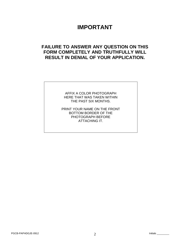# **IMPORTANT**

# **FAILURE TO ANSWER ANY QUESTION ON THIS FORM COMPLETELY AND TRUTHFULLY WILL RESULT IN DENIAL OF YOUR APPLICATION.**

AFFIX A COLOR PHOTOGRAPH HERE THAT WAS TAKEN WITHIN THE PAST SIX MONTHS.

PRINT YOUR NAME ON THE FRONT BOTTOM BORDER OF THE PHOTOGRAPH BEFORE ATTACHING IT.

PGCB-PAPHDGJE-0912 Initials \_\_\_\_\_\_\_\_\_ 2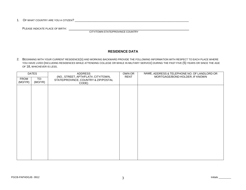1. OF WHAT COUNTRY ARE YOU A CITIZEN? \_\_\_\_\_\_\_\_\_\_\_\_\_\_\_\_\_\_\_\_\_\_\_\_\_\_\_\_\_\_\_\_\_\_\_\_\_\_\_\_\_\_\_\_\_\_\_\_\_\_\_\_\_\_\_\_\_\_\_\_\_\_\_\_\_\_

PLEASE INDICATE PLACE OF BIRTH: \_\_\_\_\_\_\_\_\_\_\_\_\_\_\_\_\_\_\_\_\_\_\_\_\_\_\_\_\_\_\_\_\_\_\_\_\_\_\_\_\_\_\_\_\_\_\_\_\_\_\_\_\_\_\_\_\_\_ CITY/TOWN STATE/PROVINCE COUNTRY

## **RESIDENCE DATA**

2. BEGINNING WITH YOUR CURRENT RESIDENCE(S) AND WORKING BACKWARD PROVIDE THE FOLLOWING INFORMATION WITH RESPECT TO EACH PLACE WHERE YOU HAVE LIVED (INCLUDING RESIDENCES WHILE ATTENDING COLLEGE OR WHILE IN MILITARY SERVICE) DURING THE PAST FIVE (5) YEARS OR SINCE THE AGE OF 18, WHICHEVER IS LESS.

| <b>DATES</b>           |                | <b>ADDRESS</b>                                                                        | <b>OWN OR</b> | NAME, ADDRESS & TELEPHONE NO. OF LANDLORD OR |
|------------------------|----------------|---------------------------------------------------------------------------------------|---------------|----------------------------------------------|
| <b>FROM</b><br>(MO/YR) | TO:<br>(MO/YR) | (NO., STREET, APT#/FLAT#, CITY/TOWN,<br>STATE/PROVINCE, COUNTRY & ZIP/POSTAL<br>CODE) | RENT          | MORTGAGE/BOND HOLDER, IF KNOWN               |
|                        |                |                                                                                       |               |                                              |
|                        |                |                                                                                       |               |                                              |
|                        |                |                                                                                       |               |                                              |
|                        |                |                                                                                       |               |                                              |
|                        |                |                                                                                       |               |                                              |
|                        |                |                                                                                       |               |                                              |
|                        |                |                                                                                       |               |                                              |
|                        |                |                                                                                       |               |                                              |
|                        |                |                                                                                       |               |                                              |
|                        |                |                                                                                       |               |                                              |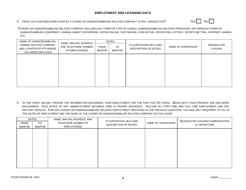## **EMPLOYMENT AND LICENSING DATA**

## 3. HAVE YOU EVER BEEN EMPLOYED BY A CASINO OR GAMING/GAMBLING RELATED COMPANY<sup>\*</sup> IN ANY JURISDICTION? YES YES NO



**\***CASINO OR GAMING/GAMBLING RELATED COMPANY INCLUDES ANY FORM OR TYPE OF CASINO, GAMING/GAMBLING RELATED OPERATION, ANY MANUFACTURER OF GAMING/GAMBLING EQUIPMENT, GAMING JUNKET ENTERPRISE, HORSE RACING, DOG RACING, PARI-MUTUEL OPERATION, LOTTERY, SPORTS BETTING, INTERNET GAMING, ETC.

| NAME OF GAMING/GAMBLING                                                       | NAME, MAILING ADDRESS                  | <b>DATES</b>                                   |  |                                                  |                    |  |
|-------------------------------------------------------------------------------|----------------------------------------|------------------------------------------------|--|--------------------------------------------------|--------------------|--|
| <b>GAMING RELATED COMPANY</b><br>AND COUNTRY/STATE WHERE<br>YOU WERE EMPLOYED | AND TELEPHONE NUMBER<br>OF EMPLOYER(S) | <b>FROM</b><br><b>TO</b><br>(MO/YR)<br>(MO/YR) |  | TITLE/POSITION HELD AND<br>DESCRIPTION OF DUTIES | NAME OF SUPERVISOR |  |
|                                                                               |                                        |                                                |  |                                                  |                    |  |
|                                                                               |                                        |                                                |  |                                                  |                    |  |
|                                                                               |                                        |                                                |  |                                                  |                    |  |
|                                                                               |                                        |                                                |  |                                                  |                    |  |
|                                                                               |                                        |                                                |  |                                                  |                    |  |
|                                                                               |                                        |                                                |  |                                                  |                    |  |

4. IN THE CHART BELOW, PROVIDE THE INFORMATION REGARDING YOUR EMPLOYMENT FOR THE PAST FIVE (5) YEARS. BEGIN WITH YOUR PRESENT JOB AND WORK BACKWARDS. GIVE DATES OF ANY UNEMPLOYMENT BETWEEN JOBS IN PROPER SEQUENCE. INCLUDE ALL PART-TIME AND FULL-TIME EMPLOYMENT AND ANY MILITARY SERVICE. FOR ANY CASINO OR GAMING/GAMBLING RELATED EMPLOYMENT IDENTIFIED IN THE PREVIOUS QUESTION, YOU ARE ONLY REQUIRED TO FILL IN THE DATES OF EMPLOYMENT AND THE NAME OF THE CASINO OR GAMING/GAMBLING RELATED COMPANY ON THIS CHART.

| FROM:<br>(MO/YR) | <b>DATES</b><br>TO:<br>(MO/YR) | NAME, MAILING ADDRESS, AND<br>TELEPHONE NUMBER OF<br>EMPLOYER(S) | TITLE/POSITION HELD AND<br><b>DESCRIPTION OF DUTIES</b> | NAME OF SUPERVISOR | REASON FOR LEAVING/ COMPENSATION<br>AT DEPARTURE |
|------------------|--------------------------------|------------------------------------------------------------------|---------------------------------------------------------|--------------------|--------------------------------------------------|
|                  |                                |                                                                  |                                                         |                    |                                                  |
|                  |                                |                                                                  |                                                         |                    |                                                  |
|                  |                                |                                                                  |                                                         |                    |                                                  |
|                  |                                |                                                                  |                                                         |                    |                                                  |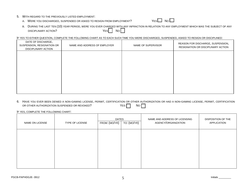- 5. WITH REGARD TO THE PREVIOUSLY LISTED EMPLOYMENT:
	- A. WERE YOU DISCHARGED, SUSPENDED OR ASKED TO RESIGN FROM EMPLOYMENT?  $Y_{ES} \Box$  No  $\Box$



B. DURING THE LAST TEN (10) YEAR PERIOD, WERE YOU EVER CHARGED WITH ANY INFRACTION IN RELATION TO ANY EMPLOYMENT WHICH WAS THE SUBJECT OF ANY DISCIPLINARY ACTION? YES NO

IF YES TO EITHER QUESTION, COMPLETE THE FOLLOWING CHART AS TO EACH SUCH TIME YOU WERE DISCHARGED, SUSPENDED, ASKED TO RESIGN OR DISCIPLINED:

| NAME AND ADDRESS OF EMPLOYER | NAME OF SUPERVISOR | REASON FOR DISCHARGE, SUSPENSION,<br>RESIGNATION OR DISCIPLINARY ACTION |
|------------------------------|--------------------|-------------------------------------------------------------------------|
|                              |                    |                                                                         |
|                              |                    |                                                                         |
|                              |                    |                                                                         |
|                              |                    |                                                                         |
|                              |                    |                                                                         |

6. HAVE YOU EVER BEEN DENIED A NON-GAMING LICENSE, PERMIT, CERTIFICATION OR OTHER AUTHORIZATION OR HAD A NON-GAMING LICENSE, PERMIT, CERTIFICATION OR OTHER AUTHORIZATION OR HAD A NON-GAMING LICENSE, PERMIT, CERTIFICATION OR OTHER AUTHORIZATION SUSPENDED OR REVOKED?  $YES \Box$ 

| <b>NAME ON LICENSE</b> | <b>TYPE OF LICENSE</b> | <b>DATES</b><br>FROM: (MO/YR) | TO: (MO/YR) | NAME AND ADDRESS OF LICENSING<br>AGENCY/ORGANIZATION | DISPOSITION OF THE<br>APPLICATION |
|------------------------|------------------------|-------------------------------|-------------|------------------------------------------------------|-----------------------------------|
|                        |                        |                               |             |                                                      |                                   |
|                        |                        |                               |             |                                                      |                                   |
|                        |                        |                               |             |                                                      |                                   |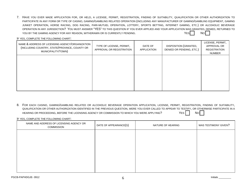7. HAVE YOU EVER MADE APPLICATION FOR, OR HELD, A LICENSE, PERMIT, REGISTRATION, FINDING OF SUITABILITY, QUALIFICATION OR OTHER AUTHORIZATION TO PARTICIPATE IN ANY FORM OR TYPE OF CASINO, GAMING/GAMBLING RELATED OPERATION (INCLUDING ANY MANUFACTURER OF GAMING/GAMBLING EQUIPMENT, GAMING JUNKET OPERATION, HORSE RACING, DOG RACING, PARI-MUTUEL OPERATION, LOTTERY, SPORTS BETTING, INTERNET GAMING, ETC.) OR ALCOHOLIC BEVERAGE OPERATION IN ANY JURISDICTION? YOU MUST ANSWER "YES" TO THIS QUESTION IF YOU EVER APPLIED AND YOUR APPLICATION WAS GRANTED, DENIED, RETURNED TO YOU BY THE GAMING AGENCY FOR ANY REASON, WITHDRAWN OR IS CURRENTLY PENDING.  $Y$  and  $Y$  and  $Y$  and  $Y$ 

IF YES, COMPLETE THE FOLLOWING CHART:

| NAME & ADDRESS OF LICENSING AGENCY/ORGANIZATION<br>(INCLUDING COUNTRY, STATE/PROVINCE, COUNTY OR<br>MUNICIPALITY/TOWN) | TYPE OF LICENSE, PERMIT,<br>APPROVAL OR REGISTRATION | DATE OF<br><b>APPLICATION</b> | DISPOSITION (GRANTED,<br>DENIED OR PENDING, ETC.) | LICENSE, PERMIT,<br>APPROVAL OR<br><b>REGISTRATION</b><br>NUMBER |
|------------------------------------------------------------------------------------------------------------------------|------------------------------------------------------|-------------------------------|---------------------------------------------------|------------------------------------------------------------------|
|                                                                                                                        |                                                      |                               |                                                   |                                                                  |
|                                                                                                                        |                                                      |                               |                                                   |                                                                  |
|                                                                                                                        |                                                      |                               |                                                   |                                                                  |

8. FOR EACH CASINO, GAMING/GAMBLING RELATED OR ALCOHOLIC BEVERAGE OPERATION APPLICATION, LICENSE, PERMIT, REGISTRATION, FINDING OF SUITABILITY, QUALIFICATION OR OTHER AUTHORIZATION IDENTIFIED IN THE PREVIOUS QUESTION, WERE YOU EVER CALLED TO APPEAR TO TESTIFY, OR OTHERWISE PARTICIPATE IN A HEARING OR PROCEEDING. BEFORE THE LICENSING AGENCY OR COMMISSION TO WHICH YOU WERE APPLYING? YES NO YES NO NO

| NAME AND ADDRESS OF LICENSING AGENCY OR<br><b>COMMISSION</b> | DATE OF APPEARANCE(S) | NATURE OF HEARING | WAS TESTIMONY GIVEN? |
|--------------------------------------------------------------|-----------------------|-------------------|----------------------|
|                                                              |                       |                   |                      |
|                                                              |                       |                   |                      |
|                                                              |                       |                   |                      |
|                                                              |                       |                   |                      |
|                                                              |                       |                   |                      |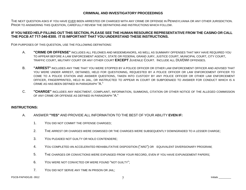## **CRIMINAL AND INVESTIGATORY PROCEEDINGS**

THE NEXT QUESTION ASKS IF YOU HAVE EVER BEEN ARRESTED OR CHARGED WITH ANY CRIME OR OFFENSE IN PENNSYLVANIA OR ANY OTHER JURISDICTION. PRIOR TO ANSWERING THIS QUESTION, CAREFULLY REVIEW THE DEFINITIONS AND INSTRUCTIONS WHICH FOLLOW.

## IF YOU NEED HELP FILLING OUT THIS SECTION. PLEASE SEE THE HUMAN RESOURCE REPRESENTATIVE FROM THE CASINO OR CALL **THE PGCB AT 717-346-8300. IT IS IMPORTANT THAT YOU UNDERSTAND THESE INSTRUCTIONS.**

FOR PURPOSES OF THIS QUESTION, USE THE FOLLOWING DEFINITIONS:

- A. **"CRIME OR OFFENSE"** INCLUDES ALL FELONIES AND MISDEMEANORS, AS WELL AS SUMMARY OFFENSES THAT MAY HAVE REQUIRED YOU TO APPEAR BEFORE A LAW ENFORCEMENT AGENCY, STATE OR FEDERAL GRAND JURY, JUSTICE COURT, MUNICIPAL COURT, CITY COURT, TRAFFIC COURT, MILITARY COURT OR ANY OTHER COURT **EXCEPT** JUVENILE COURT. INCLUDE ALL DUI/DWI OFFENSES.
- B. **"ARREST"** INCLUDES ANY TIME THAT YOU WERE STOPPED BY A POLICE OFFICER OR OTHER LAW ENFORCEMENT OFFICER AND ADVISED THAT YOU WERE UNDER ARREST, DETAINED, HELD FOR QUESTIONING, REQUESTED BY A POLICE OFFICER OR LAW ENFORCEMENT OFFICER TO COME TO A POLICE STATION AND ANSWER QUESTIONS, TAKEN INTO CUSTODY BY ANY POLICE OFFICER OR OTHER LAW ENFORCEMENT OFFICER, FINGERPRINTED, HELD IN JAIL, OR INSTRUCTED TO APPEAR IN COURT OR SUBPOENAED TO ANSWER FOR CONDUCT WHICH IS A CRIME AS HAS BEEN DEFINED IN PARAGRAPH "A."
- C. **"CHARGE"** INCLUDES ANY INDICTMENT, COMPLAINT, INFORMATION, SUMMONS, CITATION OR OTHER NOTICE OF THE ALLEGED COMMISSION OF ANY CRIME OR OFFENSE AS DEFINED IN PARAGRAPH "A."

## **INSTRUCTIONS:**

- A. ANSWER **"YES"** AND PROVIDE ALL INFORMATION TO THE BEST OF YOUR ABILITY **EVEN IF:**
	- 1. YOU DID NOT COMMIT THE OFFENSE CHARGED;
	- 2. THE ARREST OR CHARGES WERE DISMISSED OR THE CHARGES WERE SUBSEQUENTLY DOWNGRADED TO A LESSER CHARGE;
	- 3. YOU PLEADED NOT GUILTY OR NOLO CONTENDERE;
	- 4. YOU COMPLETED AN ACCELERATED REHABILITATIVE DISPOSITION ("ARD") OR EQUIVALENT DIVERSIONARY PROGRAM;
	- 5. THE CHARGES OR CONVICTIONS WERE EXPUNGED FROM YOUR RECORD, EVEN IF YOU HAVE EXPUNGEMENT PAPERS;
	- 6. YOU WERE NOT CONVICTED OR WERE FOUND "NOT GUILTY";
	- 7. YOU DID NOT SERVE ANY TIME IN PRISON OR JAIL;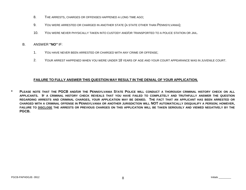- 8. THE ARRESTS, CHARGES OR OFFENSES HAPPENED A LONG TIME AGO;
- 9. YOU WERE ARRESTED OR CHARGED IN ANOTHER STATE (A STATE OTHER THAN PENNSYLVANIA);
- 10. YOU WERE NEVER PHYSICALLY TAKEN INTO CUSTODY AND/OR TRANSPORTED TO A POLICE STATION OR JAIL.
- B. ANSWER **"NO"** IF:
	- 1. YOU HAVE NEVER BEEN ARRESTED OR CHARGED WITH ANY CRIME OR OFFENSE;
	- 2. YOUR ARREST HAPPENED WHEN YOU WERE UNDER 18 YEARS OF AGE AND YOUR COURT APPEARANCE WAS IN JUVENILE COURT.

## **FAILURE TO FULLY ANSWER THIS QUESTION MAY RESULT IN THE DENIAL OF YOUR APPLICATION.**

**\* PLEASE NOTE THAT THE PGCB AND/OR THE PENNSYLVANIA STATE POLICE WILL CONDUCT A THOROUGH CRIMINAL HISTORY CHECK ON ALL APPLICANTS. IF A CRIMINAL HISTORY CHECK REVEALS THAT YOU HAVE FAILED TO COMPLETELY AND TRUTHFULLY ANSWER THE QUESTION REGARDING ARRESTS AND CRIMINAL CHARGES, YOUR APPLICATION MAY BE DENIED. THE FACT THAT AN APPLICANT HAS BEEN ARRESTED OR CHARGED WITH A CRIMINAL OFFENSE IN PENNSYLVANIA OR ANOTHER JURISDICTION WILL NOT AUTOMATICALLY DISQUALIFY A PERSON; HOWEVER, FAILURE TO DISCLOSE THE ARRESTS OR PREVIOUS CHARGES ON THIS APPLICATION WILL BE TAKEN SERIOUSLY AND VIEWED NEGATIVELY BY THE PGCB.**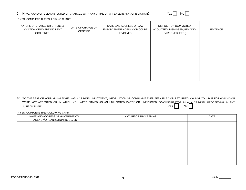#### 9. HAVE YOU EVER BEEN ARRESTED OR CHARGED WITH ANY CRIME OR OFFENSE IN ANY JURISDICTION?

| - - | Nο |
|-----|----|
|-----|----|

IF YES, COMPLETE THE FOLLOWING CHART:

| NATURE OF CHARGE OR OFFENSE/<br>LOCATION OF WHERE INCIDENT<br><b>OCCURRED</b> | DATE OF CHARGE OR<br><b>OFFENSE</b> | NAME AND ADDRESS OF LAW<br>ENFORCEMENT AGENCY OR COURT<br><b>INVOLVED</b> | DISPOSITION (CONVICTED,<br>ACQUITTED, DISMISSED, PENDING,<br>PARDONED, ETC.) | <b>SENTENCE</b> |
|-------------------------------------------------------------------------------|-------------------------------------|---------------------------------------------------------------------------|------------------------------------------------------------------------------|-----------------|
|                                                                               |                                     |                                                                           |                                                                              |                 |
|                                                                               |                                     |                                                                           |                                                                              |                 |
|                                                                               |                                     |                                                                           |                                                                              |                 |

10. TO THE BEST OF YOUR KNOWLEDGE, HAS A CRIMINAL INDICTMENT, INFORMATION OR COMPLAINT EVER BEEN FILED OR RETURNED AGAINST YOU, BUT FOR WHICH YOU WERE NOT ARRESTED OR IN WHICH YOU WERE NAMED AS AN UNINDICTED PARTY OR UNINDICTED CO-CONSPIRATOR IN ANY CRIMINAL PROCEEDING IN ANY JURISDICTION? YES NO

| NAME AND ADDRESS OF GOVERNMENTAL<br>AGENCY/ORGANIZATION INVOLVED | NATURE OF PROCEEDING | DATE |
|------------------------------------------------------------------|----------------------|------|
|                                                                  |                      |      |
|                                                                  |                      |      |
|                                                                  |                      |      |
|                                                                  |                      |      |
|                                                                  |                      |      |
|                                                                  |                      |      |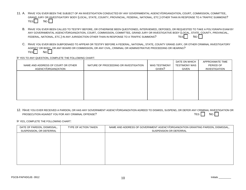- 11. A. HAVE YOU EVER BEEN THE SUBJECT OF AN INVESTIGATION CONDUCTED BY ANY GOVERNMENTAL AGENCY/ORGANIZATION, COURT, COMMISSION, COMMITTEE, GRAND JURY OR INVESTIGATORY BODY (LOCAL, STATE, COUNTY, PROVINCIAL, FEDERAL, NATIONAL, ETC.) OTHER THAN IN RESPONSE TO A TRAFFIC SUMMONS?  $YES$  No  $\Box$ 
	- B. HAVE YOU EVER BEEN CALLED TO TESTIFY BEFORE, OR OTHERWISE BEEN QUESTIONED, INTERVIEWED, DEPOSED, OR REQUESTED TO TAKE A POLYGRAPH EXAM BY ANY GOVERNMENTAL AGENCY/ORGANIZATION, COURT, COMMISSION, COMMITTEE, GRAND JURY OR INVESTIGATIVE BODY (LOCAL, STATE, COUNTY, PROVINCIAL, FEDERAL, NATIONAL, ETC.) IN ANY JURISDICTION OTHER THAN IN RESPONSE TO A TRAFFIC SUMMONS?  $Y_{ES}$  YES NO NO
	- C. HAVE YOU EVER BEEN SUBPOENAED TO APPEAR OR TESTIFY BEFORE A FEDERAL, NATIONAL, STATE, COUNTY GRAND JURY, OR OTHER CRIMINAL INVESTIGATORY AGENCY OR BODY, OR ANY BOARD OR COMMISSION, OR ANY CIVIL, CRIMINAL OR ADMINISTRATIVE PROCEEDING OR HEARING?  $YES$   $\Box$  No  $\Box$

#### IF YES TO ANY QUESTION, COMPLETE THE FOLLOWING CHART:

| NAME AND ADDRESS OF COURT OR OTHER<br>AGENCY/ORGANIZATION | NATURE OF PROCEEDING OR INVESTIGATION | <b>WAS TESTIMONY</b><br>GIVEN? | DATE ON WHICH<br><b>TESTIMONY WAS</b><br>GIVEN | APPROXIMATE TIME<br>PERIOD OF<br>INVESTIGATION |
|-----------------------------------------------------------|---------------------------------------|--------------------------------|------------------------------------------------|------------------------------------------------|
|                                                           |                                       |                                |                                                |                                                |
|                                                           |                                       |                                |                                                |                                                |
|                                                           |                                       |                                |                                                |                                                |

12. HAVE YOU EVER RECEIVED A PARDON, OR HAS ANY GOVERNMENT AGENCY/ORGANIZATION AGREED TO DISMISS, SUSPEND, OR DEFER ANY CRIMINAL INVESTIGATION OR PROSECUTION AGAINST YOU FOR ANY CRIMINAL OFFENSE? YES NO WAS ARRESTED FOR A SAFEKEEPING IN A SAFEKEEPING OF THE SAFEKEEPING IN A SAFEKEEPING IN A SAFEKEEPING IN A SAFEKEEPING IN A SAFEKEEPING IN A SAFEKEEPING IN A SAFEKEEP

| DATE OF PARDON, DISMISSAL,<br>SUSPENSION, OR DEFERRAL | TYPE OF ACTION TAKEN | NAME AND ADDRESS OF GOVERNMENT AGENCY/ORGANIZATION GRANTING PARDON, DISMISSAL,<br>SUSPENSION OR DEFERRAL |
|-------------------------------------------------------|----------------------|----------------------------------------------------------------------------------------------------------|
|                                                       |                      |                                                                                                          |
|                                                       |                      |                                                                                                          |
|                                                       |                      |                                                                                                          |
|                                                       |                      |                                                                                                          |
|                                                       |                      |                                                                                                          |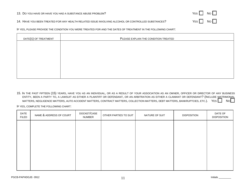#### 13. DO YOU HAVE OR HAVE YOU HAD A SUBSTANCE ABUSE PROBLEM?

| Yes I | No.  |
|-------|------|
| YES   | No l |

#### 14. HAVE YOU BEEN TREATED FOR ANY HEALTH RELATED ISSUE INVOLVING ALCOHOL OR CONTROLLED SUBSTANCES?

IF YES, PLEASE PROVIDE THE CONDITION YOU WERE TREATED FOR AND THE DATES OF TREATMENT IN THE FOLLOWING CHART:

| DATE(S) OF TREATMENT | PLEASE EXPLAIN THE CONDITION TREATED |
|----------------------|--------------------------------------|
|                      |                                      |
|                      |                                      |
|                      |                                      |
|                      |                                      |
|                      |                                      |
|                      |                                      |

15. IN THE PAST FIFTEEN (15) YEARS, HAVE YOU AS AN INDIVIDUAL, OR AS A RESULT OF YOUR ASSOCIATION AS AN OWNER, OFFICER OR DIRECTOR OF ANY BUSINESS ENTITY, BEEN A PARTY TO, A LAWSUIT AS EITHER A PLAINTIFF OR DEFENDANT, OR AN ARBITRATION AS EITHER A CLAIMANT OR DEFENDANT? (INCLUDE MATRIMONIAL MATTERS, NEGLIGENCE MATTERS, AUTO ACCIDENT MATTERS, CONTRACT MATTERS, COLLECTION MATTERS, DEBT MATTERS, BANKRUPTCIES, ETC.). YES NO

| <b>DATE</b><br><b>FILED</b> | NAME & ADDRESS OF COURT | DOCKET/CASE<br><b>NUMBER</b> | OTHER PARTIES TO SUIT | NATURE OF SUIT | <b>DISPOSITION</b> | DATE OF<br><b>DISPOSITION</b> |
|-----------------------------|-------------------------|------------------------------|-----------------------|----------------|--------------------|-------------------------------|
|                             |                         |                              |                       |                |                    |                               |
|                             |                         |                              |                       |                |                    |                               |
|                             |                         |                              |                       |                |                    |                               |
|                             |                         |                              |                       |                |                    |                               |
|                             |                         |                              |                       |                |                    |                               |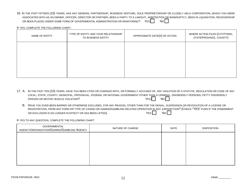16. IN THE PAST FIFTEEN (15) YEARS, HAS ANY GENERAL PARTNERSHIP, BUSINESS VENTURE, SOLE PROPRIETORSHIP OR CLOSELY HELD CORPORATION, WHICH YOU WERE ASSOCIATED WITH AS AN OWNER, OFFICER, DIRECTOR OR PARTNER, BEEN A PARTY TO A LAWSUIT, ARBITRATION OR BANKRUPTCY, BEEN IN LIQUIDATION, RECEIVERSHIP OR BEEN PLACED UNDER SOME FORM OF GOVERNMENTAL ADMINISTRATION OR MONITORING? YES NO NO

IF YES, COMPLETE THE FOLLOWING CHART:

| NAME OF ENTITY | TYPE OF ENTITY AND YOUR RELATIONSHIP<br>TO BUSINESS ENTITY | APPROXIMATE DATE(S) OF ACTION | WHERE ACTION FILED (CITY/TOWN,<br>STATE/PROVINCE, COUNTY) |
|----------------|------------------------------------------------------------|-------------------------------|-----------------------------------------------------------|
|                |                                                            |                               |                                                           |
|                |                                                            |                               |                                                           |
|                |                                                            |                               |                                                           |

- 17. A. IN THE PAST TEN (10) YEARS, HAVE YOU BEEN CITED OR CHARGED WITH, OR FORMALLY ACCUSED OF, ANY VIOLATION OF A STATUTE, REGULATION OR CODE OF ANY LOCAL, STATE, COUNTY, MUNICIPAL, PROVINCIAL, FEDERAL OR NATIONAL GOVERNMENT OTHER THAN A CRIMINAL, DISORDERLY PERSONS, PETTY DISORDERLY PERSON OR MOTOR VEHICLE VIOLATION?  $\overline{Y}$   $\overline{Y}$   $\overline{Y}$   $\overline{Y}$   $\overline{Y}$   $\overline{Y}$   $\overline{Y}$   $\overline{Y}$   $\overline{Y}$   $\overline{Y}$   $\overline{Y}$   $\overline{Y}$   $\overline{Y}$   $\overline{Y}$   $\overline{Y}$   $\overline{Y}$   $\overline{Y}$   $\overline{Y}$   $\overline{Y}$   $\overline{Y}$   $\overline{Y$ 
	- B. HAVE YOU EVER BEEN BARRED OR OTHERWISE EXCLUDED, FOR ANY REASON, OTHER THAN FOR THE DENIAL, SUSPENSION OR REVOCATION OF A LICENSE OR REGISTRATION, FROM ANY FORM OR TYPE OF CASINO OR GAMING/GAMBLING RELATED OPERATION IN ANY JURISDICTION? (CHECK "YES" EVEN IF THE DISBARMENT OR EXCLUSION IS NO LONGER IN EFFECT OR HAS BEEN LIFTED).  $\overline{Y}$   $\overline{Y}$   $\overline{Y}$   $\overline{S}$   $\overline{N}$   $\overline{N}$   $\overline{N}$

IF YES TO ANY QUESTION, COMPLETE THE FOLLOWING CHART:

| GOVERNMENTAL<br>AGENCY/ORGANIZATION/GAMING/GAMBLING AGENCY | NATURE OF CHARGE | DATE | <b>DISPOSITION</b> |
|------------------------------------------------------------|------------------|------|--------------------|
|                                                            |                  |      |                    |
|                                                            |                  |      |                    |
|                                                            |                  |      |                    |
|                                                            |                  |      |                    |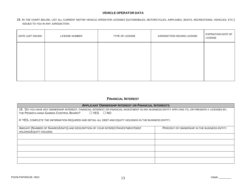## **VEHICLE OPERATOR DATA**

18. IN THE CHART BELOW, LIST ALL CURRENT MOTOR VEHICLE OPERATOR LICENSES (AUTOMOBILES, MOTORCYCLES, AIRPLANES, BOATS, RECREATIONAL VEHICLES, ETC.) ISSUED TO YOU IN ANY JURISDICTION:

## **FINANCIAL INTEREST**

| <b>APPLICANT OWNERSHIP INTEREST OR FINANCIAL INTERESTS</b>                                                                                       |                                             |  |  |  |  |  |
|--------------------------------------------------------------------------------------------------------------------------------------------------|---------------------------------------------|--|--|--|--|--|
| 19. DO YOU HAVE ANY OWNERSHIP INTEREST, FINANCIAL INTEREST OR FINANCIAL INVESTMENT IN ANY BUSINESS ENTITY APPLYING TO, OR PRESENTLY LICENSED BY, |                                             |  |  |  |  |  |
| THE PENNSYLVANIA GAMING CONTROL BOARD?<br>$\Box$ YES $\Box$ NO                                                                                   |                                             |  |  |  |  |  |
| IF YES, COMPLETE THE INFORMATION REQUIRED AND DETAIL ALL DEBT AND EQUITY HOLDINGS IN THE BUSINESS ENTITY.                                        |                                             |  |  |  |  |  |
| AMOUNT (NUMBER OF SHARES/UNITS) AND DESCRIPTION OF YOUR INTEREST/INVESTMENT/DEBT<br>HOLDING/EQUITY HOLDING                                       | PERCENT OF OWNERSHIP IN THE BUSINESS ENTITY |  |  |  |  |  |
|                                                                                                                                                  |                                             |  |  |  |  |  |
|                                                                                                                                                  |                                             |  |  |  |  |  |
|                                                                                                                                                  |                                             |  |  |  |  |  |
|                                                                                                                                                  |                                             |  |  |  |  |  |
|                                                                                                                                                  |                                             |  |  |  |  |  |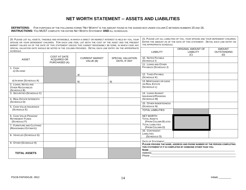# **NET WORTH STATEMENT -- ASSETS AND LIABILITIES**

**DEFINITIONS:** FOR PURPOSES OF THE FOLLOWING FORMS "NET WORTH" IS THE AMOUNT FOUND IN THE SHADED BOX UNDER COLUMN C BETWEEN NUMBERS 15 AND 16. **INSTRUCTIONS:** YOU MUST COMPLETE THE ENTIRE NET WORTH STATEMENT **AND** ALL SCHEDULES.

| 20. PLEASE LIST ALL ASSETS, TANGIBLE AND INTANGIBLE, IN WHICH A DIRECT OR INDIRECT INTEREST IS HELD BY YOU, YOUR<br>SPOUSE OR YOUR DEPENDENT CHILDREN. FOR EACH LINE ITEM, LIST BOTH THE COST OF THE ASSET AND THE PRESENT<br>MARKET VALUES AS OF THE DATE OF THIS STATEMENT UNLESS THIS CANNOT REASONABLY BE DONE, IN WHICH CASE ANY |                                                            |                                    | 21. PLEASE LIST ALL LIABILITIES OF YOU, YOUR SPOUSE AND YOUR DEPENDENT CHILDREN.<br>ENTER THE AMOUNT AS OF THE DATE OF THIS STATEMENT. DETAIL EACH LINE ENTRY ON<br>THE APPROPRIATE SCHEDULE. |                                                                                                                |                                                                                                                                                                                                                                                                                                                                                                              |                                            |
|---------------------------------------------------------------------------------------------------------------------------------------------------------------------------------------------------------------------------------------------------------------------------------------------------------------------------------------|------------------------------------------------------------|------------------------------------|-----------------------------------------------------------------------------------------------------------------------------------------------------------------------------------------------|----------------------------------------------------------------------------------------------------------------|------------------------------------------------------------------------------------------------------------------------------------------------------------------------------------------------------------------------------------------------------------------------------------------------------------------------------------------------------------------------------|--------------------------------------------|
| SPECIAL VALUATION DATE SHOULD BE NOTED IN THE COLUMN PROVIDED. DETAIL EACH LINE ENTRY ON THE APPROPRIATE<br>SCHEDULE.                                                                                                                                                                                                                 |                                                            |                                    |                                                                                                                                                                                               | <b>LIABILITY</b>                                                                                               | ORIGINAL AMOUNT OF<br><b>LIABILITY</b><br>(C)                                                                                                                                                                                                                                                                                                                                | <b>AMOUNT</b><br><b>OUTSTANDING</b><br>(D) |
| <b>ASSET</b>                                                                                                                                                                                                                                                                                                                          | <b>COST AT DATE</b><br><b>ACQUIRED OR</b><br>PURCHASED (A) | <b>CURRENT MARKET</b><br>VALUE (B) | <b>SPECIAL VALUATION</b><br>DATE, IF ANY                                                                                                                                                      | 10. NOTES PAYABLE<br>(SCHEDULE I)<br>11. LOANS AND OTHER                                                       |                                                                                                                                                                                                                                                                                                                                                                              |                                            |
| 1. CASH<br>A) ON HAND                                                                                                                                                                                                                                                                                                                 |                                                            |                                    |                                                                                                                                                                                               | PAYABLES (SCHEDULE J)                                                                                          |                                                                                                                                                                                                                                                                                                                                                                              |                                            |
|                                                                                                                                                                                                                                                                                                                                       |                                                            | a)                                 |                                                                                                                                                                                               | 12. TAXES PAYABLE<br>(SCHEDULE K)                                                                              |                                                                                                                                                                                                                                                                                                                                                                              |                                            |
| B) IN BANK (SCHEDULE A)<br>2. LOANS, NOTES AND<br><b>OTHER RECEIVABLES</b><br>(SCHEDULE B)                                                                                                                                                                                                                                            |                                                            | b)                                 | b)                                                                                                                                                                                            | 13. MORTGAGES OR LIENS<br>ON REAL ESTATE<br>(SCHEDULE L)                                                       |                                                                                                                                                                                                                                                                                                                                                                              |                                            |
| 3. SECURITIES (SCHEDULE C)<br>4. REAL ESTATE INTERESTS                                                                                                                                                                                                                                                                                |                                                            |                                    |                                                                                                                                                                                               | 14. LOANS AGAINST<br><b>INSURANCE/PENSIONS</b><br>(SCHEDULE M)                                                 |                                                                                                                                                                                                                                                                                                                                                                              |                                            |
| (SCHEDULE D)<br>5. CASH VALUE INSURANCE                                                                                                                                                                                                                                                                                               |                                                            |                                    |                                                                                                                                                                                               | 15. OTHER INDEBTEDNESS<br>(SCHEDULE N)                                                                         |                                                                                                                                                                                                                                                                                                                                                                              |                                            |
| (SCHEDULE E)                                                                                                                                                                                                                                                                                                                          |                                                            |                                    |                                                                                                                                                                                               | <b>TOTAL LIABILITIES</b>                                                                                       |                                                                                                                                                                                                                                                                                                                                                                              |                                            |
| 6. CASH VALUE PENSION/<br><b>RETIREMENT FUNDS</b><br>(SCHEDULE F)<br>7. FURNITURE AND CLOTHING                                                                                                                                                                                                                                        |                                                            |                                    |                                                                                                                                                                                               | <b>NET WORTH</b><br><b>TOTAL ASSETS</b><br>(FROM COLUMN B) LESS<br><b>TOTAL LIABILITIES</b><br>(FROM COLUMN D) |                                                                                                                                                                                                                                                                                                                                                                              |                                            |
| (REASONABLE ESTIMATE)<br>8. VEHICLES (SCHEDULE G)                                                                                                                                                                                                                                                                                     |                                                            |                                    |                                                                                                                                                                                               | 16. CONTINGENT<br><b>LIABILITIES</b>                                                                           |                                                                                                                                                                                                                                                                                                                                                                              |                                            |
|                                                                                                                                                                                                                                                                                                                                       |                                                            |                                    |                                                                                                                                                                                               | (SCHEDULE O)                                                                                                   |                                                                                                                                                                                                                                                                                                                                                                              |                                            |
| 9. OTHER (SCHEDULE H)<br><b>TOTAL ASSETS</b>                                                                                                                                                                                                                                                                                          |                                                            |                                    |                                                                                                                                                                                               | DATE OF STATEMENT                                                                                              | PLEASE PROVIDE THE NAME, ADDRESS AND PHONE NUMBER OF THE PERSON COMPLETING<br>THIS STATEMENT IF IT IS COMPLETED BY SOMEONE OTHER THAN YOU.<br>Address and the contract of the contract of the contract of the contract of the contract of the contract of the contract of the contract of the contract of the contract of the contract of the contract of the contract of th |                                            |
|                                                                                                                                                                                                                                                                                                                                       |                                                            |                                    |                                                                                                                                                                                               |                                                                                                                |                                                                                                                                                                                                                                                                                                                                                                              |                                            |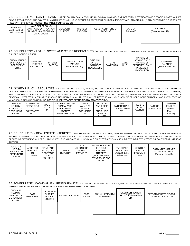22. SCHEDULE "A" - CASH IN BANK LIST BELOW ANY BANK ACCOUNTS (CHECKING, SAVINGS, TIME DEPOSITS, CERTIFICATES OF DEPOSIT, MONEY MARKET FUNDS, ETC.) FOREIGN AND DOMESTIC, MAINTAINED BY YOU, YOUR SPOUSE OR DEPENDENT CHILDREN. IDENTIFY WITH AN ASTERISK (\*) ANY CHECK WRITING ACCOUNTS HELD WITH BROKERAGE HOUSES, INSURANCE COMPANIES, ETC.

| NAME AND<br>ADDRESS OF<br><b>INSTITUTION</b> | NAME OF PERSON(S)<br><b>ACCOUNT</b><br>AND TAX IDENTIFICATION<br>NUMBER(S) APPEARING<br><b>NUMBER</b><br>ON ACCOUNT |  | <b>INTEREST</b><br><b>GENERAL NATURE OF</b><br><b>RATE (%)</b><br><b>ACCOUNT</b> |  | DATE OF<br><b>BALANCE</b> | <b>BALANCE</b><br>(Enter as item 1B) |
|----------------------------------------------|---------------------------------------------------------------------------------------------------------------------|--|----------------------------------------------------------------------------------|--|---------------------------|--------------------------------------|
|                                              |                                                                                                                     |  |                                                                                  |  |                           |                                      |

#### 23. SCHEDULE "B" – LOANS, NOTES AND OTHER RECEIVABLES LIST BELOW LOANS, NOTES AND OTHER RECEIVABLES HELD BY YOU, YOUR SPOUSE OR DEPENDENT CHILDREN.

| CHECK IF HELD<br>BY SPOUSE OR<br><b>DEPENDENT</b><br><b>CHILD</b> | <b>NAME AND</b><br>ADDRESS<br>OF DEBTOR | <b>INTEREST</b><br><b>RATE (%)</b> | ORIGINAL LOAN<br><b>AMOUNT</b><br>(Enter as item 2A) | <b>ORIGINAL</b><br>DATE OF<br>LOAN/NOTE<br><b>RECEIVABLE</b> | <b>TOTAL</b><br><b>PAYMENTS</b> | <b>DATE</b><br><b>DUE</b> | NATURE OF<br>ADVANCE AND<br>NATURE OF<br>SECURITY, IF ANY<br>(INDICATE IF<br>UNSECURED) | <b>CURRENT</b><br><b>BALANCE</b><br>(Enter as item 2B) |
|-------------------------------------------------------------------|-----------------------------------------|------------------------------------|------------------------------------------------------|--------------------------------------------------------------|---------------------------------|---------------------------|-----------------------------------------------------------------------------------------|--------------------------------------------------------|
|                                                                   |                                         |                                    |                                                      |                                                              |                                 |                           |                                                                                         |                                                        |

24. SCHEDULE "C" - SECURITIES. LIST BELOW ANY STOCKS, BONDS, MUTUAL FUNDS, COMMODITY ACCOUNTS, OPTIONS, WARRANTS, ETC., HELD OR CONTROLLED BY YOU, YOUR SPOUSE OR DEPENDENT CHILDREN IN ANY JURISDICTION. WHENEVER INTEREST EXISTS THROUGH A MUTUAL FUND OR HOLDING COMPANY, THE INDIVIDUAL STOCKS OR BONDS HELD BY SUCH MUTUAL FUND OR HOLDING COMPANY NEED NOT BE LISTED; WHENEVER SUCH INTEREST EXISTS THROUGH A BENEFICIAL INTEREST IN A TRUST, THE SECURITIES HELD IN SUCH TRUST SHALL BE LISTED IF YOU, YOUR SPOUSE OR DEPENDENT CHILDREN HAVE KNOWLEDGE OF WHAT SECURITIES ARE SO HELD. INDICATE PUBLICLY TRADED SECURITIES BY AN ASTERISK (\*).

| <u>WIIAT JEUDINITEJ ANE JU HEED. MUIUATET UDEIUET TIVADED JEUDINITIEJ DT AN AJTENIJIN T.</u> |                                                                  |                          |                                                                                      |                                                                 |                                                                        |                                                          |                                              |                      |                                                                   |  |
|----------------------------------------------------------------------------------------------|------------------------------------------------------------------|--------------------------|--------------------------------------------------------------------------------------|-----------------------------------------------------------------|------------------------------------------------------------------------|----------------------------------------------------------|----------------------------------------------|----------------------|-------------------------------------------------------------------|--|
| CHECK IF<br><b>HELD BY</b><br>SPOUSE OR<br><b>DEPENDENT</b><br>CHILD                         | NUMBER OF<br><b>SECURITIES</b><br>OR<br>CONTRACTS<br><b>HELD</b> | TYPE OF<br><b>SECURI</b> | NAME OF ISSUING<br>COMPANY OR<br><b>GOVERNMENT</b><br><b>AGENCY</b><br>/ORGANIZATION | <b>MARKET</b><br><b>VALUE AT</b><br>TIME OF<br>ACQUISITIO<br>N. | DATE OF<br>AND PRICE<br>AT<br><b>PURCHASE</b><br>(Enter as<br>item 3A) | % OF<br><b>OWNERSHIP IF</b><br><b>GREATER THAN</b><br>5% | <b>REGISTE</b><br><b>RED</b><br><b>OWNER</b> | DATE OF<br>VALUATION | <b>CURRENT</b><br><b>MARKET</b><br>VALUE<br>(Enter as<br>item 3B) |  |
|                                                                                              |                                                                  |                          |                                                                                      |                                                                 |                                                                        |                                                          |                                              |                      |                                                                   |  |

25. SCHEDULE "D" - REAL ESTATE INTERESTS INDICATE BELOW THE LOCATION, SIZE, GENERAL NATURE, ACQUISITION DATE AND OTHER INFORMATION REQUESTED REGARDING ANY REAL PROPERTY IN ANY JURISDICTION IN WHICH ANY DIRECT, INDIRECT, VESTED OR CONTINGENT INTEREST IS HELD BY YOU, YOUR SPOUSE OR DEPENDENT CHILDREN, ALONG WITH THE NAMES OF ALL INDIVIDUALS OR ENTITIES WHO SHARE A DIRECT, INDIRECT, VESTED OR CONTINGENT INTEREST THEREIN.

| CHECK IF<br><b>HELD BY</b><br><b>SPOUSE OR</b><br><b>DEPENDENT</b><br>CHILD | <b>ADDRESS</b><br>PARCEL/L<br>OT<br><b>NUMBER</b> | LOT<br>SIZE/STAND<br>NO./SQUAR<br>E FOOTAGE<br>OF<br><b>BUILDING</b> | TYPE OF<br><b>PROPERTY</b> | <b>DATE</b><br>ACQUIRED/<br><b>DOWN</b><br><b>PAYMENT</b> | <b>INDIVIDUALS OR</b><br><b>ENTITIES</b><br><b>SHARING</b><br><b>INTEREST</b><br>(INCLUDE % OF<br><b>OWNERSHIP FOR</b><br>EACH) | <b>PURCHASE</b><br>PRICE OF %<br><b>OWNED (Enter</b><br>as item 4A) | <b>MONTHLY</b><br>RENTAL<br>INCOME. IF<br><b>ANY</b> | <b>ESTIMATED MARKET</b><br>VALUE OF % OWNED<br>(Enter as item 4B) |
|-----------------------------------------------------------------------------|---------------------------------------------------|----------------------------------------------------------------------|----------------------------|-----------------------------------------------------------|---------------------------------------------------------------------------------------------------------------------------------|---------------------------------------------------------------------|------------------------------------------------------|-------------------------------------------------------------------|
|                                                                             |                                                   |                                                                      |                            |                                                           |                                                                                                                                 |                                                                     |                                                      |                                                                   |

#### 26. SCHEDULE "E" - CASH VALUE - LIFE INSURANCE INDICATE BELOW THE INFORMATION REQUESTED WITH REGARD TO THE CASH VALUE OF ALL LIFE INSURANCE POLICIES HELD BY YOU, YOUR SPOUSE OR YOUR DEPENDENT CHILDREN.

| CHECK IF<br><b>HELD BY</b><br>SPOUSE OR<br><b>DEPENDENT</b><br>CHILD | <b>DATE</b><br>PURCHASED | <b>INSURANCE</b><br><b>CARRIER</b><br><b>POLICY</b><br><b>NUMBER</b> | BENEFICIARY(IES) | <b>FACE</b><br>VALUE | ANNUAL PREMIUM<br><b>PAYMENTS</b> | <b>CASH SURRENDER</b><br><b>VALUE (Enter as item</b><br>5B) | EFFECTIVE DATE OF CASH<br>SURRENDER VALUE |
|----------------------------------------------------------------------|--------------------------|----------------------------------------------------------------------|------------------|----------------------|-----------------------------------|-------------------------------------------------------------|-------------------------------------------|
|                                                                      |                          |                                                                      |                  |                      |                                   |                                                             |                                           |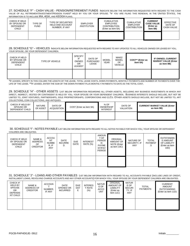27. SCHEDULE "F" - CASH VALUE - PENSION/RETIREMENT FUNDS INDICATE BELOW THE INFORMATION REQUESTED WITH REGARD TO THE CASH VALUE OF ALL RETIREMENT/INVESTMENT/PENSION FUNDS\* HELD BY YOU OR YOUR SPOUSE. \*IF YOU ARE FILING THIS RENEWAL IN THE UNITED STATES, THE INFORMATION IS TO INCLUDE IRA, 401K, AND KEOGH PLANS.

| CHECK IF HELD<br>BY SPOUSE OR<br><b>DEPENDENT</b><br>CHILD | TYPE OF<br><b>FUND</b> | TYPE OF SECURITIES<br><b>HELD AND ACCOUNT</b><br>NUMBER. IF ANY | EMPLOYER<br><b>INSTITUTION</b> | <b>CUMULATIVE</b><br>EMPLOYEE<br><b>CONTRIBUTION</b><br>(Enter as item 6A) | <b>CUMULATIVE</b><br><b>EMPLOYER</b><br><b>CONTRIBUTION</b> | <b>CURRENT</b><br><b>CASE VALUE</b><br>(Enter as<br>item 6B) | <b>EFFECTIVE</b><br>DATE OF<br><b>CASH VALUE</b> |
|------------------------------------------------------------|------------------------|-----------------------------------------------------------------|--------------------------------|----------------------------------------------------------------------------|-------------------------------------------------------------|--------------------------------------------------------------|--------------------------------------------------|
|                                                            |                        |                                                                 |                                |                                                                            |                                                             |                                                              |                                                  |

28. SCHEDULE "G" – VEHICLES INDICATE BELOW INFORMATION REQUESTED WITH REGARD TO ANY UPDATES TO ALL VEHICLES OWNED OR LEASED BY YOU, YOUR SPOUSE, OR YOUR DEPENDENT CHILDREN.

| CHECK IF HELD<br>BY SPOUSE OR<br>DEPENDENT<br><b>CHILD</b> | <b>TYPE OF VEHICLE</b> | <b>SPECIFY</b><br>IF<br>OWNED<br><b>OR</b><br>LEASED* | DATE OF<br>PURCHASE/<br>LEASE | <b>MODEL</b><br><b>YEAR</b> | MAKE/<br><b>MODEL</b><br>OF<br><b>VEHICLE</b> | COST** (Enter as<br>item 8A) | IF OWNED, CURRENT<br><b>MARKET VALUE (Enter</b><br>as item 8B) |
|------------------------------------------------------------|------------------------|-------------------------------------------------------|-------------------------------|-----------------------------|-----------------------------------------------|------------------------------|----------------------------------------------------------------|
|                                                            |                        |                                                       |                               |                             |                                               |                              |                                                                |

\*IF LEASED, SPECIFY IN THIS COLUMN THE LENGTH OF THE LEASE, TOTAL LEASE COSTS, DOWN PAYMENTS, MONTHLY PAYMENTS AND NUMBER OF PAYMENTS OVER THE LIFE OF THE LEASE. \*\*IF LEASED, ENTER THE SUM OF THE DOWN PAYMENT PLUS MONTHLY PAYMENTS TO DATE AS THE TOTAL COST.

29. SCHEDULE "H" - OTHER ASSETS LIST BELOW INFORMATION REGARDING ALL OTHER ASSETS, INCLUDING ANY BUSINESS INVESTMENTS IN WHICH ANY DIRECT, INDIRECT, VESTED OR CONTINGENT IS HELD BY YOU, YOUR SPOUSE OR YOUR DEPENDENT CHILDREN. BUSINESS INTERESTS SHOULD INCLUDE, BUT NOT BE LIMITED TO, JOINT VENTURES, PARTNERSHIPS, SOLE PROPRIETORSHIPS, CORPORATIONS AND LLCS. OTHER ASSETS SHOULD INCLUDE, BUT NOT BE LIMITED TO, ART COLLECTIONS, COIN COLLECTIONS, AND ANTIQUES.

| CHECK IF HELD BY<br>SPOUSE OR<br>DEPENDENT CHILD | <b>NATURE</b><br>OF ASSET | DATE OF<br><b>ACQUISITION</b> | COST (Enter as item 9A) | % OF<br>OWNERSHIP<br><b>INTEREST</b> | DATE OF<br>VALUATION | <b>CURRENT MARKET VALUE (Enter</b><br>as item 9B) |
|--------------------------------------------------|---------------------------|-------------------------------|-------------------------|--------------------------------------|----------------------|---------------------------------------------------|
|                                                  |                           |                               |                         |                                      |                      |                                                   |

#### 30. SCHEDULE "I" - NOTES PAYABLE LIST BELOW INFORMATION WITH REGARD TO ALL NOTES PAYABLE FOR WHICH YOU, YOUR SPOUSE OR DEPENDENT CHILDREN ARE OBLIGATED.

| CHECK IF HELD<br>BY SPOUSE OR<br><b>DEPENDENT</b><br>CHILD | NAME &<br>ADDRESS<br>OF<br><b>CREDITOR</b> | ACCOU<br>NT<br><b>NUMBE</b><br>R, IF<br>ANY | DATE<br><b>INCURRE</b><br>D | <b>DUE</b><br><b>DATE</b> | <b>INTEREST</b><br><b>RATE</b> (%) | <b>AMOUN</b><br>T OF<br>PERIOD<br>IC<br><b>PAYME</b><br>NT/PAY<br><b>PERIOD</b> | <b>ORIGINAL</b><br>AMOUNT OF<br>NOTE (Enter<br>as item 10C) | NATURE OF<br>SECURITY, IF<br>ANY | TOTAL<br><b>PAYMENT</b><br>S | <b>OUTSTANDIN</b><br><b>G AMOUNT</b><br>OF LIABILITY<br>(Enter as item<br>10D) |
|------------------------------------------------------------|--------------------------------------------|---------------------------------------------|-----------------------------|---------------------------|------------------------------------|---------------------------------------------------------------------------------|-------------------------------------------------------------|----------------------------------|------------------------------|--------------------------------------------------------------------------------|
|                                                            |                                            |                                             |                             |                           |                                    |                                                                                 |                                                             |                                  |                              |                                                                                |

31. SCHEDULE "J" - LOANS AND OTHER PAYABLES LIST BELOW INFORMATION WITH REGARD TO ALL ACCOUNTS PAYABLE (INCLUDE LINES OF CREDIT, INSTALLMENT LOANS, REVOLVING CHARGE ACCOUNTS AND ANY OTHER ACCOUNTS) FOR WHICH YOU, YOUR SPOUSE OR YOUR DEPENDENT CHILDREN ARE OBLIGATED.

| CHECK IF<br><b>HELD BY</b><br><b>SPOUSE</b><br><b>OR</b><br><b>DEPENDE</b><br>NT CHILD | NAME &<br>ADDRESS OF<br><b>CREDITOR</b> | ACCOUN<br>NUMBER,<br>IF ANY | DATE<br>OPENED OR<br><b>INCURRED</b> | <b>DUE</b><br><b>DAT</b><br>Е | <b>INTERES</b><br>T RATE<br>(%) | NATUR<br>E OF<br><b>ACCO</b><br>UNT | <b>ORIGINAL</b><br>AMOUNT OF<br><b>LIABILITY</b><br>(Enter as<br>item $11C$ ) | <b>NATUR</b><br>E OF<br><b>SECURI</b><br>TY, IF<br><b>ANY</b> | <b>TOTAL</b><br><b>PAYMENTS</b> | <b>CURRENT</b><br><b>AMOUNT</b><br><b>OUTSTANDING</b><br>(Enter as item 11D) |
|----------------------------------------------------------------------------------------|-----------------------------------------|-----------------------------|--------------------------------------|-------------------------------|---------------------------------|-------------------------------------|-------------------------------------------------------------------------------|---------------------------------------------------------------|---------------------------------|------------------------------------------------------------------------------|
|                                                                                        |                                         |                             |                                      |                               |                                 |                                     |                                                                               |                                                               |                                 |                                                                              |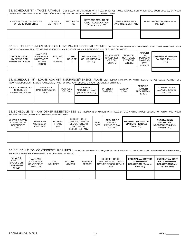32. SCHEDULE "K" - TAXES PAYABLE LIST BELOW INFORMATION WITH REGARD TO ALL TAXES PAYABLE FOR WHICH YOU, YOUR SPOUSE, OR YOUR DEPENDENT CHILDREN ARE OBLIGATED. ONLY REAL ESTATE AND INCOME TAXES NEED TO BE INCLUDED.

| CHECK IF OWNED BY SPOUSE<br>OR DEPENDENT CHILD | <b>TAXING</b><br><b>AUTHORITY</b> | NATURE OF<br><b>TAX</b> | DATE AND AMOUNT OF<br>ORIGINAL OBLIGATION<br>(ENTER AS ITEM 12C) | FINES, PENALTIES,<br>AND INTEREST, IF ANY | TOTAL AMOUNT DUE (ENTER AS<br>ITEM 12D) |
|------------------------------------------------|-----------------------------------|-------------------------|------------------------------------------------------------------|-------------------------------------------|-----------------------------------------|
|                                                |                                   |                         |                                                                  |                                           |                                         |

#### 33. SCHEDULE "L" - MORTGAGES OR LIENS PAYABLE ON REAL ESTATE LIST BELOW INFORMATION WITH REGARD TO ALL MORTGAGES OR LIENS DUE AND OWING ON REAL ESTATE FOR WHICH YOU, YOUR SPOUSE OR YOUR DEPENDENT CHILDREN ARE OBLIGATED.

| CHECK IF OWNED<br>BY SPOUSE OR<br>DEPENDENT CHILD | NAME AND<br>ADDRESS OF<br><b>MORTGAGEE</b><br>OR LIEN<br><b>HOLDER</b> | <b>ACCOUN</b><br><b>NUMBER</b> | DATE<br><b>INCURRE</b> | <b>ORIGINAL AMOUNT</b><br>OF LIABILITY (Enter<br>as 13C) | <b>DESCRIPTIO</b><br>N/ADDRESS<br>OF REAL<br><b>ESTATE</b> | <b>TERM OF</b><br>MORTGAGE/<br><b>INTEREST</b><br><b>RATE (%)</b> | <b>AMOUNT</b><br>OF<br><b>PERIODIC</b><br>PAYMENT/<br>PAY<br><b>PERIOD</b> | <b>CURRENT MORTGAGE</b><br><b>BALANCE (Enter as</b><br>13D) |
|---------------------------------------------------|------------------------------------------------------------------------|--------------------------------|------------------------|----------------------------------------------------------|------------------------------------------------------------|-------------------------------------------------------------------|----------------------------------------------------------------------------|-------------------------------------------------------------|
|                                                   |                                                                        |                                |                        |                                                          |                                                            |                                                                   |                                                                            |                                                             |

#### 34. SCHEDULE "M" - LOANS AGAINST INSURANCE/PENSION PLANS LIST BELOW INFORMATION WITH REGARD TO ALL LOANS AGAINST LIFE INSURANCE POLICIES, PENSION PLANS, ETC., TAKEN BY YOU, YOUR SPOUSE OR YOUR DEPENDENT CHILDREN.

| CHECK IF OWNED BY<br>SPOUSE OR<br>DEPENDENT CHILD | INSURANCE<br><b>CARRIER/PENSION</b><br>PLAN | <b>PURPOSE</b><br>OF LOAN | ORIGINAL<br>AMOUNT OF LOAN<br>(Enter as item 14C) | <b>INTEREST</b><br><b>RATE (%)</b> | DATE OF<br><b>LOAN</b> | <b>PERIODIC</b><br><b>PAYMENT</b><br>AMOUNT/PAY<br><b>PERIOD</b> | <b>CURRENT LOAN</b><br><b>BALANCE (Enter as</b><br>item 14D) |
|---------------------------------------------------|---------------------------------------------|---------------------------|---------------------------------------------------|------------------------------------|------------------------|------------------------------------------------------------------|--------------------------------------------------------------|
|                                                   |                                             |                           |                                                   |                                    |                        |                                                                  |                                                              |

#### 35. SCHEDULE "N" - ANY OTHER INDEBTEDNESS LIST BELOW INFORMATION WITH REGARD TO ANY OTHER INDEBTEDNESS FOR WHICH YOU, YOUR SPOUSE OR YOUR DEPENDENT CHILDREN ARE OBLIGATED.

| CHECK IF OWED<br>BY SPOUSE OR<br>DEPENDENT<br><b>CHILD</b> | <b>NAME AND</b><br>ADDRESS OF<br><b>CREDITOR</b> | <b>INTERES</b><br>r RATE<br>(%) | <b>DESCRIPTION OF</b><br>LIABILITY, TYPE OF<br><b>OBLIGATION AND</b><br>NATURE OF<br>SECURITY. IF ANY | <b>DUE</b><br><b>DATE</b> | AMOUNT OF<br><b>PERIODIC</b><br>PAYMENT/ PAY<br>PERIOD | <b>ORIGINAL AMOUNT OF</b><br>LIABILITY (Enter as<br>item 15C) | <b>OUTSTANDING</b><br><b>AMOUNT OF</b><br><b>INDEBTEDNESS (Enter</b><br>as item 15D) |
|------------------------------------------------------------|--------------------------------------------------|---------------------------------|-------------------------------------------------------------------------------------------------------|---------------------------|--------------------------------------------------------|---------------------------------------------------------------|--------------------------------------------------------------------------------------|
|                                                            |                                                  |                                 |                                                                                                       |                           |                                                        |                                                               |                                                                                      |

#### 36. SCHEDULE "O" - CONTINGENT LIABILITIES LIST BELOW INFORMATION REQUESTED WITH REGARD TO ALL CONTINGENT LIABILITIES FOR WHICH YOU, YOUR SPOUSE OR YOUR DEPENDENT CHILDREN ARE OBLIGATED.

| CHECK IF<br><b>OWED BY</b><br>SPOUSE OR<br><b>DEPENDENT</b><br>CHILD | NAME AND<br>ADDRESS OF<br><b>CONTINGENT</b><br><b>CREDITOR</b> | DATE<br><b>INCURRED</b> | <b>ACCOUNT</b><br><b>NUMBER</b> | PRIMARY<br><b>DEBTOR</b> | <b>DESCRIPTION OF</b><br>OBLIGATION INCLUDING<br>NATURE OF SECURITY. IF<br>ANY | <b>ORIGINAL AMOUNT OF</b><br><b>CONTINGENT</b><br><b>OBLIGATION (Enter as</b><br>item 16C) | <b>CURRENT AMOUNT</b><br>OF CONTINGENT<br><b>OBLIGATION (Enter</b><br>as item 16D) |
|----------------------------------------------------------------------|----------------------------------------------------------------|-------------------------|---------------------------------|--------------------------|--------------------------------------------------------------------------------|--------------------------------------------------------------------------------------------|------------------------------------------------------------------------------------|
|                                                                      |                                                                |                         |                                 |                          |                                                                                |                                                                                            |                                                                                    |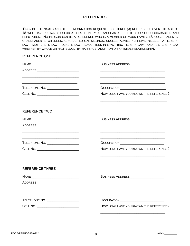## **REFERENCES**

PROVIDE THE NAMES AND OTHER INFORMATION REQUESTED OF THREE (3) REFERENCES OVER THE AGE OF 18 WHO HAVE KNOWN YOU FOR AT LEAST ONE YEAR AND CAN ATTEST TO YOUR GOOD CHARACTER AND REPUTATION. NO PERSON CAN BE A REFERENCE WHO IS A MEMBER OF YOUR FAMILY. (SPOUSE, PARENTS, GRANDPARENTS, CHILDREN, GRANDCHILDREN, SIBLINGS, UNCLES, AUNTS, NEPHEWS, NIECES, FATHERS-IN-LAW, MOTHERS-IN-LAW, SONS-IN-LAW, DAUGHTERS-IN-LAW, BROTHERS-IN-LAW AND SISTERS-IN-LAW WHETHER BY WHOLE OR HALF BLOOD, BY MARRIAGE, ADOPTION OR NATURAL RELATIONSHIP).

### REFERENCE ONE

|                                    | BUSINESS ADDRESS_____________________             |
|------------------------------------|---------------------------------------------------|
|                                    |                                                   |
|                                    |                                                   |
| TELEPHONE NO. ___________________  |                                                   |
|                                    | HOW LONG HAVE YOU KNOWN THE REFERENCE?            |
| <b>REFERENCE TWO</b>               |                                                   |
|                                    | BUSINESS ADDRESS <b>AND ALL AND A SET ALCOHOL</b> |
|                                    |                                                   |
| TELEPHONE NO. ____________________ | <b>OCCUPATION</b>                                 |
| CELL NO. _________________________ | HOW LONG HAVE YOU KNOWN THE REFERENCE?            |
| <b>REFERENCE THREE</b>             |                                                   |
|                                    | BUSINESS ADDRESS <b>AND ALL AND A SET ALCOHOL</b> |
|                                    |                                                   |
| TELEPHONE NO. ____________________ |                                                   |
|                                    | HOW LONG HAVE YOU KNOWN THE REFERENCE?            |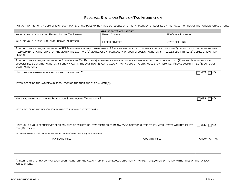## **FEDERAL, STATE AND FOREIGN TAX INFORMATION**

ATTACH TO THIS FORM A COPY OF EACH SUCH TAX RETURN AND ALL APPROPRIATE SCHEDULES OR OTHER ATTACHMENTS REQUIRED BY THE TAX AUTHORITIES OF THE FOREIGN JURISDICTIONS.

| <b>APPLICANT TAX HISTORY</b>                                                                                                                                                                                                                                                                                                                  |                       |                            |  |
|-----------------------------------------------------------------------------------------------------------------------------------------------------------------------------------------------------------------------------------------------------------------------------------------------------------------------------------------------|-----------------------|----------------------------|--|
| WHEN DID YOU FILE YOUR LAST FEDERAL INCOME TAX RETURN                                                                                                                                                                                                                                                                                         | <b>PERIOD COVERED</b> | <b>IRS OFFICE LOCATION</b> |  |
| WHEN DID YOU FILE YOUR LAST STATE INCOME TAX RETURN                                                                                                                                                                                                                                                                                           | PERIOD COVERED        | <b>STATE OF FILING</b>     |  |
| ATTACH TO THIS FORM, A COPY OF EACH IRS FORM(S) FILED AND ALL SUPPORTING IRS SCHEDULES* FILED BY YOU IN EACH OF THE LAST TWO (2) YEARS. IF YOU AND YOUR SPOUSE<br>FILED SEPARATE TAX RETURNS FOR ANY YEAR IN THE LAST TWO (2) YEARS, ALSO ATTACH A COPY OF YOUR SPOUSE'S TAX RETURNS. PLEASE SUBMIT THREE (3) COPIES OF EACH TAX<br>RETURN.   |                       |                            |  |
| ATTACH TO THIS FORM, A COPY OF EACH STATE INCOME TAX RETURN(S) FILED AND ALL SUPPORTING SCHEDULES FILED BY YOU IN THE LAST TWO (2) YEARS. IF YOU AND YOUR<br>SPOUSE FILED SEPARATE TAX RETURNS FOR ANY YEAR IN THE LAST TWO (2) YEARS, ALSO ATTACH A COPY OF YOUR SPOUSE'S TAX RETURNS. PLEASE SUBMIT THREE (3) COPIES OF<br>EACH TAX RETURN. |                       |                            |  |
| HAS YOUR TAX RETURN EVER BEEN AUDITED OR ADJUSTED?                                                                                                                                                                                                                                                                                            |                       | $\sqcap$ YES $\sqcap$ NO   |  |
| IF YES, DESCRIBE THE NATURE AND RESOLUTION OF THE AUDIT AND THE TAX YEAR(S).                                                                                                                                                                                                                                                                  |                       |                            |  |
| HAVE YOU EVER FAILED TO FILE FEDERAL OR STATE INCOME TAX RETURNS?                                                                                                                                                                                                                                                                             |                       | $\Box$ Yes $\Box$ No       |  |
| IF YES, DESCRIBE THE REASON FOR FAILURE TO FILE AND THE TAX YEAR(S).                                                                                                                                                                                                                                                                          |                       |                            |  |
| HAVE YOU OR YOUR SPOUSE EVER FILED ANY TYPE OF TAX RETURN, STATEMENT OR FORM IN ANY JURISDICTION OUTSIDE THE UNITED STATES WITHIN THE LAST<br>TEN (10) YEARS?                                                                                                                                                                                 |                       | <b>TYES</b><br>⊤NO         |  |
| IF THE ANSWER IS YES, PLEASE PROVIDE THE INFORMATION REQUIRED BELOW.                                                                                                                                                                                                                                                                          |                       |                            |  |
| <b>TAX YEARS FILED</b>                                                                                                                                                                                                                                                                                                                        | <b>COUNTRY FILED</b>  | <b>AMOUNT OF TAX</b>       |  |
|                                                                                                                                                                                                                                                                                                                                               |                       |                            |  |
|                                                                                                                                                                                                                                                                                                                                               |                       |                            |  |
|                                                                                                                                                                                                                                                                                                                                               |                       |                            |  |
| ATTACH TO THIS FORM A COPY OF EACH SUCH TAX RETURN AND ALL APPROPRIATE SCHEDULES OR OTHER ATTACHMENTS REQUIRED BY THE TAX AUTHORITIES OF THE FOREIGN<br>JURISDICTIONS.                                                                                                                                                                        |                       |                            |  |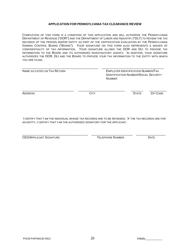## **APPLICATION FOR PENNSYLVANIA TAX CLEARANCE REVIEW**

COMPLETION OF THIS FORM IS A CONDITION OF THIS APPLICATION AND WILL AUTHORIZE THE PENNSYLVANIA DEPARTMENT OF REVENUE ("DOR") AND THE DEPARTMENT OF LABOR AND INDUSTRY ("DLI") TO REVIEW THE TAX RECORDS OF THE PERSON AND/OR ENTITY AS PART OF THE CERTIFICATION EVALUATION BY THE PENNSYLVANIA GAMING CONTROL BOARD ("BOARD"). YOUR SIGNATURE ON THIS FORM ALSO REPRESENTS A WAIVER OF CONFIDENTIALITY OF TAX INFORMATION. YOUR SIGNATURE ALLOWS THE DOR AND DLI TO PROVIDE TAX INFORMATION TO THE BOARD AND ITS AUTHORIZED INVESTIGATORY AGENTS. IN ADDITION, YOUR SIGNATURE AUTHORIZES THE DOR, DLI AND THE BOARD TO PROVIDE YOUR TAX INFORMATION TO THE ENTITY WITH WHICH YOU ARE FILING.

| NAME AS LISTED ON TAX RETURN |             | <b>EMPLOYER IDENTIFICATION NUMBER/TAX</b><br><b>IDENTIFICATION NUMBER/SOCIAL SECURITY</b><br><b>NUMBER</b> |          |  |  |
|------------------------------|-------------|------------------------------------------------------------------------------------------------------------|----------|--|--|
| <b>ADDRESS</b>               | <b>CITY</b> | <b>STATE</b>                                                                                               | ZIP CODE |  |  |

I CERTIFY THAT I AM THE INDIVIDUAL WHOSE TAX RECORDS ARE TO BE REVIEWED. IF THE TAX RECORDS ARE FOR AN ENTITY, I CERTIFY THAT I AM THE AUTHORIZED SIGNATORY FOR THE APPLICANT.

\_\_\_\_\_\_\_\_\_\_\_\_\_\_\_\_\_\_\_\_\_\_\_\_\_\_\_\_\_\_\_\_\_\_\_\_\_\_ \_\_\_\_\_\_\_\_\_\_\_\_\_\_\_\_\_\_\_\_\_\_\_\_ \_\_\_\_\_\_\_\_\_\_\_\_\_\_\_\_\_ CEO/APPLICANT SIGNATURE TELEPHONE NUMBER DATE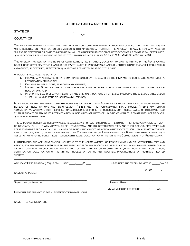### **AFFIDAVIT AND WAIVER OF LIABILITY**

STATE OF \_\_\_\_\_\_\_\_\_\_\_\_\_\_\_\_\_\_\_\_\_\_\_\_\_\_\_\_\_:

SS: And the state of the state of the SS: COUNTY OF \_\_\_\_\_\_\_\_\_\_\_\_\_\_\_\_\_\_\_\_\_\_\_:

THE APPLICANT HEREBY CERTIFIES THAT THE INFORMATION CONTAINED HEREIN IS TRUE AND CORRECT AND THAT THERE IS NO MISREPRESENTATION, FALSIFICATION OR OMISSION IN THIS APPLICATION. FURTHER, THE APPLICANT IS AWARE THAT ANY FALSE OR MISLEADING STATEMENT OR OMITTED INFORMATION WILL BE CAUSE FOR REJECTION OR REVOCATION OF A REGISTRATION, CERTIFICATE, QUALIFICATION OR PERMIT AND MAY BE SUBJECT TO CRIMINAL PENALTIES UNDER 18 PA. C.S.A. §§ 4902, 4903 AND 4904.

THE APPLICANT AGREES TO THE TERMS OF CERTIFICATION, REGISTRATION, QUALIFICATION AND PERMITTING IN THE PENNSYLVANIA RACE HORSE DEVELOPMENT AND GAMING ACT ("ACT") AND THE PENNSYLVANIA GAMING CONTROL BOARD ("BOARD") REGULATIONS AND AGREES, IF CERTIFIED, REGISTERED, QUALIFIED OR PERMITTED, TO ABIDE BY THE SAME.

APPLICANT SHALL HAVE THE DUTY TO:

- 1. PROVIDE ANY ASSISTANCE OR INFORMATION REQUIRED BY THE BOARD OR THE PSP AND TO COOPERATE IN ANY INQUIRY, INVESTIGATION OR HEARING;
- 2. CONSENT TO INSPECTIONS, SEARCHES AND SEIZURES;
- 3. INFORM THE BOARD OF ANY ACTIONS WHICH APPLICANT BELIEVES WOULD CONSTITUTE A VIOLATION OF THE ACT OR REGULATIONS; AND
- 4. INFORM THE BOARD OF ANY ARRESTS FOR ANY CRIMINAL VIOLATIONS OR OFFENSES INCLUDING THOSE ENUMERATED UNDER 18 PA. C.S.A. (RELATING TO CRIMES AND OFFENSES).

IN ADDITION, TO FURTHER EFFECTUATE THE PURPOSES OF THE ACT AND BOARD REGULATIONS, APPLICANT ACKNOWLEDGES THE BUREAU OF INVESTIGATIONS AND ENFORCEMENT ("BIE") AND THE PENNSYLVANIA STATE POLICE ("PSP") MAY OBTAIN ADMINISTRATIVE WARRANTS FOR THE INSPECTION AND SEIZURE OF PROPERTY POSSESSED, CONTROLLED, BAILED OR OTHERWISE HELD BY AN APPLICANT OR ANY OF ITS INTERMEDIARIES, SUBSIDIARIES AFFILIATES OR HOLDING COMPANIES, REGISTRANTS, CERTIFICANTS, QUALIFIERS OR PERMITTEES.

THE APPLICANT HEREBY EXPRESSLY WAIVES, RELEASES, AND FOREVER DISCHARGES THE BOARD, THE PENNSYLVANIA DEPARTMENT OF REVENUE, PSP, THE COMMONWEALTH OF PENNSYLVANIA AND ITS INSTRUMENTALITIES, AND THEIR AGENTS, EMPLOYEES AND REPRESENTATIVES FROM ANY AND ALL MANNER OF ACTION AND CAUSES OF ACTION WHATSOEVER WHICH I, MY ADMINISTRATORS OR EXECUTORS CAN, SHALL, OR MAY HAVE AGAINST THE COMMONWEALTH OF PENNSYLVANIA, THE BOARD AND THEIR AGENTS, AS A RESULT OF MY APPLYING FOR A REGISTRATION, CERTIFICATE, QUALIFICATION OR PERMIT IN THE COMMONWEALTH OF PENNSYLVANIA.

FURTHERMORE, THE APPLICANT WAIVES LIABILITY AS TO THE COMMONWEALTH OF PENNSYLVANIA AND ITS INSTRUMENTALITIES AND AGENTS, FOR ANY DAMAGES RESULTING TO THE APPLICANT FROM ANY DISCLOSURE OR PUBLICATION, IN ANY MANNER, OTHER THAN A WILFULLY UNLAWFUL DISCLOSURE OR PUBLICATION, OF ANY MATERIAL OR INFORMATION ACQUIRED DURING THE REGISTRATION, CERTIFICATION, QUALIFICATION OR PERMITTING PROCESS OR DURING ANY INQUIRIES, INVESTIGATIONS OR HEARINGS RELATED THERETO.

\_\_\_\_\_\_\_\_\_\_\_\_\_\_\_\_\_\_\_\_\_\_\_\_\_\_\_\_\_\_\_\_\_\_\_\_\_\_\_\_\_\_\_\_\_\_\_\_\_\_\_\_\_\_\_\_\_\_\_\_\_\_\_\_\_\_\_\_\_\_\_\_\_\_\_\_\_\_\_\_\_\_\_\_\_\_\_\_\_\_\_\_\_\_\_\_\_\_\_\_\_\_

APPLICANT CERTIFICATION (REQUIRED) DATE:  $\frac{1}{20}$  /20\_\_\_ SUBSCRIBED AND SWORN TO ME THIS \_\_\_\_\_DAY OF

 $\overline{OP} 20$ .

NAME OF APPLICANT

\_\_\_\_\_\_\_\_\_\_\_\_\_\_\_\_\_\_\_\_\_\_\_\_\_\_\_\_\_\_\_\_\_\_\_\_\_\_\_\_\_\_\_\_\_\_\_ \_\_\_\_\_\_\_\_\_\_\_\_\_\_\_\_\_\_\_\_\_\_\_\_\_\_\_\_\_\_\_\_\_\_\_\_\_ SIGNATURE OF APPLICANT **NOTARY PUBLIC** 

INDIVIDUAL PREPARING THIS FORM IF DIFFERENT FROM APPLICANT

MY COMMISSION EXPIRES ON \_\_\_\_\_\_/\_\_\_\_\_/20\_\_\_

\_\_\_\_\_\_\_\_\_\_\_\_\_\_\_\_\_\_\_\_\_\_\_\_\_\_\_\_\_\_\_\_\_\_\_\_\_\_\_\_\_\_\_\_\_\_\_ NAME, TITLE AND SIGNATURE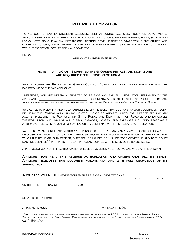## **RELEASE AUTHORIZATION**

TO ALL COURTS, LAW ENFORCEMENT AGENCIES, CRIMINAL JUSTICE AGENCIES, PROBATION DEPARTMENTS, SELECTIVE SERVICE BOARDS, EMPLOYERS, EDUCATIONAL INSTITUTIONS, BROKERAGE FIRMS, BANKS, SAVINGS AND LOANS INSTITUTIONS, FINANCIAL INSTITUTIONS, INTERNAL REVENUE SERVICE, STATE TAXING AUTHORITIES, AND OTHER INSTITUTIONS, AND ALL FEDERAL, STATE, AND LOCAL GOVERNMENT AGENCIES, BOARDS, OR COMMISSIONS, WITHOUT EXCEPTION, BOTH FOREIGN AND DOMESTIC.

FROM: \_\_\_\_\_\_\_\_\_\_\_\_\_\_\_\_\_\_\_\_\_\_\_\_\_\_\_\_\_\_\_\_\_\_\_\_\_\_\_\_\_\_\_\_\_\_\_\_\_\_\_\_\_\_\_\_\_\_\_\_\_\_\_\_\_\_\_

APPLICANT'S NAME (PLEASE PRINT)

#### **NOTE: IF APPLICANT IS MARRIED THE SPOUSE'S INITIALS AND SIGNATURE ARE REQUIRED ON THIS TWO-PAGE FORM.**

I/WE AUTHORIZE THE PENNSYLVANIA GAMING CONTROL BOARD TO CONDUCT AN INVESTIGATION INTO THE BACKGROUND OF THE SAID APPLICANT.

THEREFORE, YOU ARE HEREBY AUTHORIZED TO RELEASE ANY AND ALL INFORMATION PERTAINING TO THE APPLICANT, \_\_\_\_\_\_\_\_\_\_\_\_\_\_\_\_\_\_\_\_\_\_\_\_\_\_\_\_\_\_\_\_, DOCUMENTARY OR OTHERWISE, AS REQUESTED BY ANY APPROPRIATE EMPLOYEE, AGENT, OR REPRESENTATIVE OF THE PENNSYLVANIA GAMING CONTROL BOARD.

I/WE AGREE TO INDEMNIFY AND HOLD HARMLESS EVERY PERSON, FIRM, COMPANY, AND/OR GOVERNMENT BODY, INCLUDING THE PENNSYLVANIA GAMING CONTROL BOARD TO WHOM THIS REQUEST IS PRESENTED AND ANY AGENTS, INCLUDING THE PENNSYLVANIA STATE POLICE AND DEPARTMENT OF REVENUE, AND EMPLOYEES THEREOF, FROM AND AGAINST ALL CLAIMS, DAMAGES, LOSSES, AND EXPENSES INCLUDING REASONABLE ATTORNEYS' FEES ARISING OUT OF OR BY REASON OF, COMPLYING WITH THIS RELEASE AUTHORIZATION.

I/WE HEREBY AUTHORIZE ANY AUTHORIZED PERSON OF THE PENNSYLVANIA GAMING CONTROL BOARD TO DISCLOSE ANY INFORMATION OBTAINED THROUGH MY/OUR BACKGROUND INVESTIGATION TO THE ENTITY FOR WHICH THE APPLICANT IS AN OFFICER, DIRECTOR, OR HOLDER OF 10% OR MORE OWNERSHIP AND TO THE SLOT MACHINE LICENSEE(S) WITH WHICH THE ENTITY I AM ASSOCIATED WITH IS SEEKING TO DO BUSINESS..

A PHOTOSTAT COPY OF THIS AUTHORIZATION WILL BE CONSIDERED AS EFFECTIVE AND VALID AS THE ORIGINAL.

### **APPLICANT HAS READ THIS RELEASE AUTHORIZATION AND UNDERSTANDS ALL ITS TERMS. APPLICANT EXECUTES THIS DOCUMENT VOLUNTARILY AND WITH FULL KNOWLEDGE OF ITS SIGNIFICANCE.**

| IN WITNESS WHEREOF, I HAVE EXECUTED THIS RELEASE AUTHORIZATION AT                                                                                                                                                                     |                 |              |
|---------------------------------------------------------------------------------------------------------------------------------------------------------------------------------------------------------------------------------------|-----------------|--------------|
|                                                                                                                                                                                                                                       | <b>CITY</b>     | <b>STATE</b> |
| ON THIS, THE _______DAY OF __________________, 20_________.                                                                                                                                                                           |                 |              |
| <b>SIGNATURE OF APPLICANT</b>                                                                                                                                                                                                         |                 |              |
| APPLICANT'S *SSN                                                                                                                                                                                                                      | APPLICANT'S DOB |              |
| *DISCLOSURE OF YOUR SOCIAL SECURITY NUMBER IS MANDATORY IN ORDER FOR THE PGCB TO COMPLY WITH THE FEDERAL SOCIAL<br>SECURITY ACT PERTAINING TO CHILD SUPPORT ENFORCEMENT. AS IMPLEMENTED IN THE COMMONWEALTH OF PENNSYLVANIA AT 23 PA. |                 |              |

C.S. § 4304.1(A).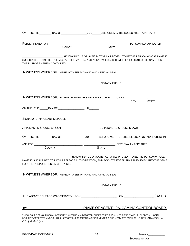| ________, PERSONALLY APPEARED<br>$\overline{\phantom{a}}$ STATE<br><b>COUNTY</b><br>__________, (KNOWN BY ME OR SATISFACTORILY PROVEN) TO BE THE PERSON WHOSE NAME IS<br><b>NOTARY PUBLIC</b><br><b>CITY</b><br><b>STATE</b><br><b>STATE</b><br><b>COUNTY</b><br>____________________, (KNOWN BY ME OR SATISFACTORILY PROVEN) TO BE THE PERSON WHOSE<br><b>NOTARY PUBLIC</b>          | ON THIS, THE _________ DAY OF ____________________, 20______, BEFORE ME, THE SUBSCRIBER, A NOTARY |  |  |        |
|---------------------------------------------------------------------------------------------------------------------------------------------------------------------------------------------------------------------------------------------------------------------------------------------------------------------------------------------------------------------------------------|---------------------------------------------------------------------------------------------------|--|--|--------|
| BY ________________________________(NAME OF AGENT), PA. GAMING CONTROL BOARD.                                                                                                                                                                                                                                                                                                         |                                                                                                   |  |  |        |
| THE PURPOSE HEREIN CONTAINED.                                                                                                                                                                                                                                                                                                                                                         |                                                                                                   |  |  |        |
|                                                                                                                                                                                                                                                                                                                                                                                       |                                                                                                   |  |  |        |
| SUBSCRIBED TO IN THIS RELEASE AUTHORIZATION, AND ACKNOWLEDGED THAT THEY EXECUTED THE SAME FOR<br>IN WITNESS WHEREOF, I HEREUNTO SET MY HAND AND OFFICIAL SEAL.                                                                                                                                                                                                                        |                                                                                                   |  |  |        |
|                                                                                                                                                                                                                                                                                                                                                                                       |                                                                                                   |  |  |        |
|                                                                                                                                                                                                                                                                                                                                                                                       |                                                                                                   |  |  |        |
|                                                                                                                                                                                                                                                                                                                                                                                       |                                                                                                   |  |  |        |
|                                                                                                                                                                                                                                                                                                                                                                                       |                                                                                                   |  |  |        |
| IN WITNESS WHEREOF, I HAVE EXECUTED THIS RELEASE AUTHORIZATION AT ________<br>ON THIS, THE ______DAY OF _____________________, 20________.<br>SIGNATURE APPLICANT'S SPOUSE<br>NAME IS SUBSCRIBED TO IN THIS RELEASE AUTHORIZATION, AND ACKNOWLEDGED THAT THEY EXECUTED THE SAME<br>FOR THE PURPOSE HEREIN CONTAINED.<br>IN WITNESS WHEREOF, I HEREUNTO SET MY HAND AND OFFICIAL SEAL. |                                                                                                   |  |  |        |
|                                                                                                                                                                                                                                                                                                                                                                                       |                                                                                                   |  |  |        |
|                                                                                                                                                                                                                                                                                                                                                                                       |                                                                                                   |  |  |        |
|                                                                                                                                                                                                                                                                                                                                                                                       |                                                                                                   |  |  |        |
|                                                                                                                                                                                                                                                                                                                                                                                       |                                                                                                   |  |  |        |
|                                                                                                                                                                                                                                                                                                                                                                                       |                                                                                                   |  |  |        |
|                                                                                                                                                                                                                                                                                                                                                                                       |                                                                                                   |  |  |        |
|                                                                                                                                                                                                                                                                                                                                                                                       |                                                                                                   |  |  |        |
|                                                                                                                                                                                                                                                                                                                                                                                       |                                                                                                   |  |  |        |
|                                                                                                                                                                                                                                                                                                                                                                                       |                                                                                                   |  |  |        |
|                                                                                                                                                                                                                                                                                                                                                                                       |                                                                                                   |  |  |        |
|                                                                                                                                                                                                                                                                                                                                                                                       |                                                                                                   |  |  |        |
|                                                                                                                                                                                                                                                                                                                                                                                       |                                                                                                   |  |  |        |
|                                                                                                                                                                                                                                                                                                                                                                                       |                                                                                                   |  |  |        |
|                                                                                                                                                                                                                                                                                                                                                                                       |                                                                                                   |  |  |        |
|                                                                                                                                                                                                                                                                                                                                                                                       |                                                                                                   |  |  |        |
|                                                                                                                                                                                                                                                                                                                                                                                       |                                                                                                   |  |  | (DATE) |
|                                                                                                                                                                                                                                                                                                                                                                                       |                                                                                                   |  |  |        |
|                                                                                                                                                                                                                                                                                                                                                                                       |                                                                                                   |  |  |        |
| *DISCLOSURE OF YOUR SOCIAL SECURITY NUMBER IS MANDATORY IN ORDER FOR THE PGCB TO COMPLY WITH THE FEDERAL SOCIAL<br>SECURITY ACT PERTAINING TO CHILD SUPPORT ENFORCEMENT, AS IMPLEMENTED IN THE COMMONWEALTH OF PENNSYLVANIA AT 23 PA.                                                                                                                                                 |                                                                                                   |  |  |        |

C.S. § 4304.1(A).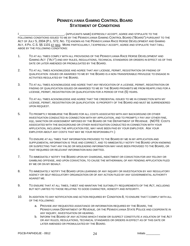# **PENNSYLVANIA GAMING CONTROL BOARD STATEMENT OF CONDITIONS**

I LETTING AND LOCAL THE LARGET AND STIPULATE TO THE LARGET AND STIPULATE TO THE FOLLOWING CONDITIONS ISSUED TO ME BY THE PENNSYLVANIA GAMING CONTROL BOARD ("BOARD") PURSUANT TO THE ACT OF JULY 5, 2004 (P.L. 572, NO. 71) KNOWN AS THE PENNSYLVANIA RACE HORSE DEVELOPMENT AND GAMING ACT, 4 PA. C.S. §§ 1101 ET SEQ. MORE PARTICULARLY, I EXPRESSLY ACCEPT, AGREE AND STIPULATE THAT I WILL ABIDE BY THE FOLLOWING CONDITIONS:

- 1. TO AT ALL TIMES COMPLY WITH ALL PROVISIONS OF THE PENNSYLVANIA RACE HORSE DEVELOPMENT AND GAMING ACT ("ACT") AND ANY RULES, REGULATIONS, TECHNICAL STANDARDS OR ORDERS IN EFFECT AS OF THIS DATE OR LATER AMENDED OR PROMULGATED BY THE BOARD.
- 2. TO AT ALL TIMES ACKNOWLEDGE AND AGREE THAT ANY LICENSE, PERMIT, REGISTRATION OR FINDING OF QUALIFICATION ISSUED OR AWARDED TO ME BY THE BOARD IS A NON-TRANSFERABLE PRIVILEGE TO ENGAGE IN ACTIVITIES REGULATED BY THE BOARD.
- 3. TO AT ALL TIMES ACKNOWLEDGE AND AGREE THAT ANY REVOCATION OF A LICENSE, PERMIT, REGISTRATION OR FINDING OF QUALIFICATION ISSUED OR AWARDED TO ME BY THE BOARD PROHIBITS ME FROM REAPPLYING FOR A LICENSE, PERMIT, REGISTRATION OR QUALIFICATION FOR A PERIOD OF FIVE (5) YEARS.
- 4. TO AT ALL TIMES ACKNOWLEDGE AND AGREE THAT THE CREDENTIAL ISSUED TO ME IN CONNECTION WITH MY LICENSE, PERMIT, REGISTRATION OR QUALIFICATION IS PROPERTY OF THE BOARD AND MUST BE SURRENDERED UPON REQUEST.
- 5. TO PROMPTLY REIMBURSE THE BOARD FOR ALL COSTS ASSOCIATED WITH ANY BACKGROUND OR OTHER INVESTIGATION CONDUCTED IN CONNECTION WITH MY APPLICATION, AND TO PROMPTLY PAY ANY OTHER FINE, FEE, SANCTION OR ASSESSMENT IMPOSED BY THE BOARD OR THE DEPARTMENT OF REVENUE. (NOTE: COSTS ASSOCIATED WITH THE BACKGROUND OR OTHER INVESTIGATION CONDUCTED IN CONNECTION WITH YOUR APPLICATION, INCLUDING THE APPLICATION FEE, MAY HAVE BEEN PAID BY YOUR EMPLOYER. ASK YOUR EMPLOYER ABOUT ANY COSTS THAT MAY BE YOUR RESPONSIBILITY.)
- 6. TO ENSURE AT ALL TIMES THAT INFORMATION PROVIDED TO THE BOARD BY ME IN MY APPLICATION AND SUPPLEMENTAL INFORMATION IS TRUE AND CORRECT, AND TO IMMEDIATELY NOTIFY THE BOARD UPON KNOWING OR SUSPECTING THAT ANY FALSE OR MISLEADING INFORMATION MAY HAVE BEEN PROVIDED TO THE BOARD, OR THAT REQUIRED OR RELEVANT INFORMATION WAS OMITTED.
- 7. TO IMMEDIATELY NOTIFY THE BOARD UPON MY CHARGING, INDICTMENT OR CONVICTION FOR ANY FELONY OR GAMBLING OFFENSE, AND UPON CONVICTION, TO CAUSE THE WITHDRAWAL OF ANY PENDING APPLICATION FILED BY ME OR ON MY BEHALF.
- 8. TO IMMEDIATELY NOTIFY THE BOARD UPON LEARNING OF ANY INQUIRY OR INVESTIGATION BY ANY REGULATORY AGENCY OR SELF-REGULATORY ORGANIZATION OR OF ANY ACTION FILED BY ANY GOVERNMENTAL AUTHORITY AGAINST ME.
- 9. TO ENSURE THAT AT ALL TIMES, I MEET AND MAINTAIN THE SUITABILITY REQUIREMENTS OF THE ACT, INCLUDING BUT NOT LIMITED TO THOSE RELATING TO GOOD CHARACTER, HONESTY AND INTEGRITY.
- 10. IN ADDITION TO ANY NOTIFICATION AND ACTION REQUIRED BY CONDITION 8, TO ENSURE THAT I COMPLY WITH ALL OF THE FOLLOWING:
	- a. PROVIDE ANY REQUESTED ASSISTANCE OR INFORMATION REQUIRED BY THE BOARD, THE PENNSYLVANIA DEPARTMENT OF REVENUE, OR THE PENNSYLVANIA STATE POLICE AND COOPERATE IN ANY INQUIRY, INVESTIGATION OR HEARING.
	- b. INFORM THE BOARD OF ANY ACTIONS WHICH I KNOW OR SUSPECT CONSTITUTE A VIOLATION OF THE ACT OR ANY RULES, REGULATIONS, TECHNICAL STANDARDS OR ORDERS IN EFFECT AS OF THIS DATE OR LATER AMENDED OR PROMULGATED BY THE BOARD.